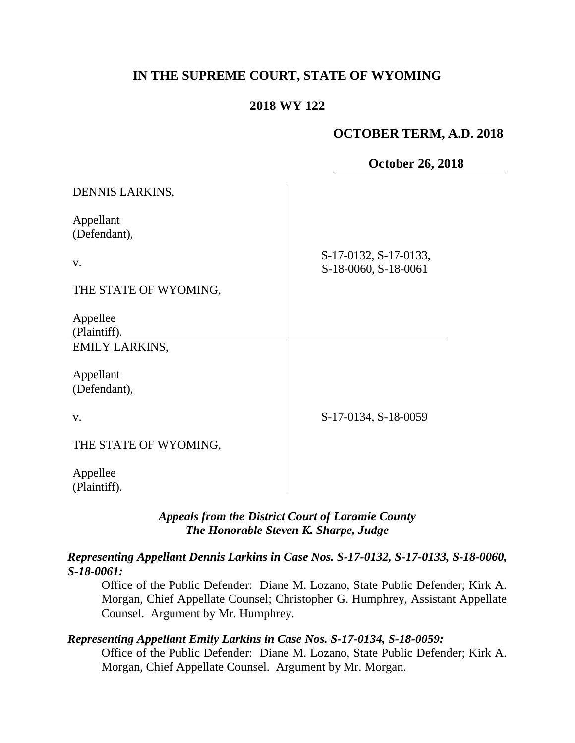# **IN THE SUPREME COURT, STATE OF WYOMING**

### **2018 WY 122**

### **OCTOBER TERM, A.D. 2018**

| <b>October 26, 2018</b> |  |  |
|-------------------------|--|--|
|-------------------------|--|--|

| DENNIS LARKINS,       |                                               |
|-----------------------|-----------------------------------------------|
| Appellant             |                                               |
| (Defendant),          |                                               |
| V.                    | S-17-0132, S-17-0133,<br>S-18-0060, S-18-0061 |
| THE STATE OF WYOMING, |                                               |
|                       |                                               |
| Appellee              |                                               |
| (Plaintiff).          |                                               |
| <b>EMILY LARKINS,</b> |                                               |
|                       |                                               |
| Appellant             |                                               |
| (Defendant),          |                                               |
|                       |                                               |
| V.                    | S-17-0134, S-18-0059                          |
| THE STATE OF WYOMING, |                                               |
|                       |                                               |
| Appellee              |                                               |
| (Plaintiff).          |                                               |

### *Appeals from the District Court of Laramie County The Honorable Steven K. Sharpe, Judge*

#### *Representing Appellant Dennis Larkins in Case Nos. S-17-0132, S-17-0133, S-18-0060, S-18-0061:*

Office of the Public Defender: Diane M. Lozano, State Public Defender; Kirk A. Morgan, Chief Appellate Counsel; Christopher G. Humphrey, Assistant Appellate Counsel. Argument by Mr. Humphrey.

### *Representing Appellant Emily Larkins in Case Nos. S-17-0134, S-18-0059:*

Office of the Public Defender: Diane M. Lozano, State Public Defender; Kirk A. Morgan, Chief Appellate Counsel. Argument by Mr. Morgan.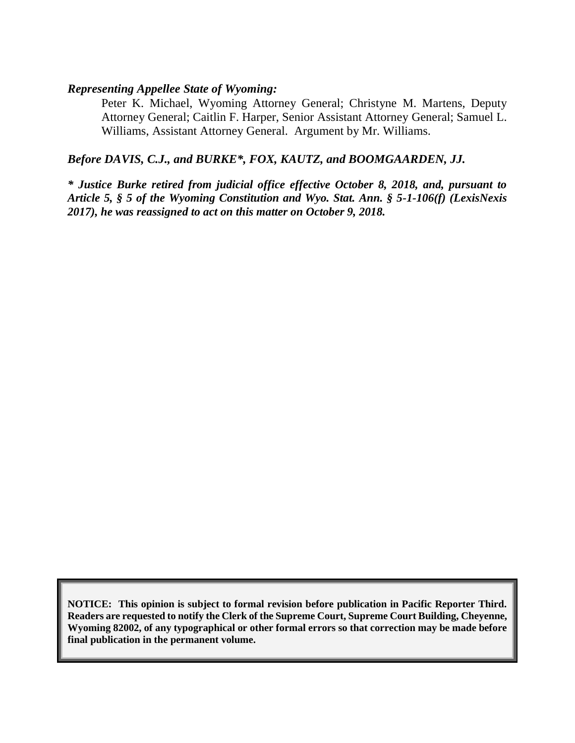#### *Representing Appellee State of Wyoming:*

Peter K. Michael, Wyoming Attorney General; Christyne M. Martens, Deputy Attorney General; Caitlin F. Harper, Senior Assistant Attorney General; Samuel L. Williams, Assistant Attorney General. Argument by Mr. Williams.

#### *Before DAVIS, C.J., and BURKE\*, FOX, KAUTZ, and BOOMGAARDEN, JJ.*

*\* Justice Burke retired from judicial office effective October 8, 2018, and, pursuant to Article 5, § 5 of the Wyoming Constitution and Wyo. Stat. Ann. § 5-1-106(f) (LexisNexis 2017), he was reassigned to act on this matter on October 9, 2018.*

**NOTICE: This opinion is subject to formal revision before publication in Pacific Reporter Third. Readers are requested to notify the Clerk of the Supreme Court, Supreme Court Building, Cheyenne, Wyoming 82002, of any typographical or other formal errors so that correction may be made before final publication in the permanent volume.**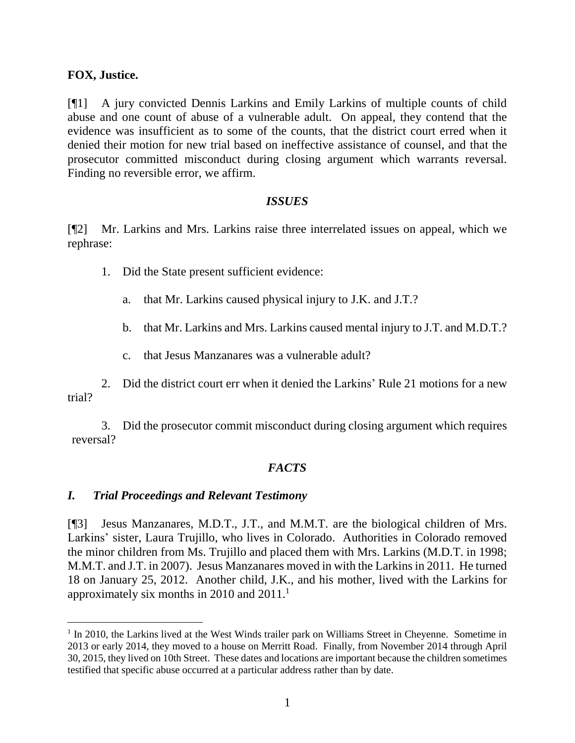#### **FOX, Justice.**

[¶1] A jury convicted Dennis Larkins and Emily Larkins of multiple counts of child abuse and one count of abuse of a vulnerable adult. On appeal, they contend that the evidence was insufficient as to some of the counts, that the district court erred when it denied their motion for new trial based on ineffective assistance of counsel, and that the prosecutor committed misconduct during closing argument which warrants reversal. Finding no reversible error, we affirm.

#### *ISSUES*

[¶2] Mr. Larkins and Mrs. Larkins raise three interrelated issues on appeal, which we rephrase:

- 1. Did the State present sufficient evidence:
	- a. that Mr. Larkins caused physical injury to J.K. and J.T.?
	- b. that Mr. Larkins and Mrs. Larkins caused mental injury to J.T. and M.D.T.?
	- c. that Jesus Manzanares was a vulnerable adult?

2. Did the district court err when it denied the Larkins' Rule 21 motions for a new trial?

3. Did the prosecutor commit misconduct during closing argument which requires reversal?

### *FACTS*

#### *I. Trial Proceedings and Relevant Testimony*

[¶3] Jesus Manzanares, M.D.T., J.T., and M.M.T. are the biological children of Mrs. Larkins' sister, Laura Trujillo, who lives in Colorado. Authorities in Colorado removed the minor children from Ms. Trujillo and placed them with Mrs. Larkins (M.D.T. in 1998; M.M.T. and J.T. in 2007). Jesus Manzanares moved in with the Larkins in 2011. He turned 18 on January 25, 2012. Another child, J.K., and his mother, lived with the Larkins for approximately six months in 2010 and  $2011<sup>1</sup>$ 

<sup>&</sup>lt;sup>1</sup> In 2010, the Larkins lived at the West Winds trailer park on Williams Street in Cheyenne. Sometime in 2013 or early 2014, they moved to a house on Merritt Road. Finally, from November 2014 through April 30, 2015, they lived on 10th Street. These dates and locations are important because the children sometimes testified that specific abuse occurred at a particular address rather than by date.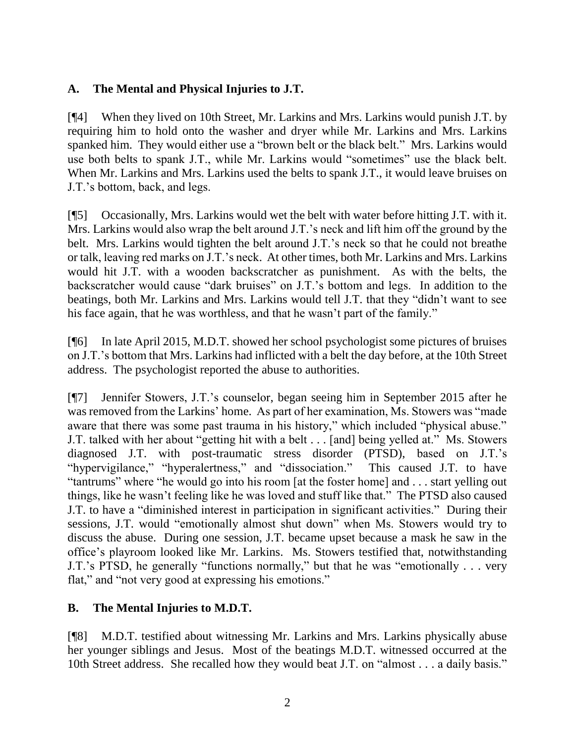# **A. The Mental and Physical Injuries to J.T.**

[¶4] When they lived on 10th Street, Mr. Larkins and Mrs. Larkins would punish J.T. by requiring him to hold onto the washer and dryer while Mr. Larkins and Mrs. Larkins spanked him. They would either use a "brown belt or the black belt." Mrs. Larkins would use both belts to spank J.T., while Mr. Larkins would "sometimes" use the black belt. When Mr. Larkins and Mrs. Larkins used the belts to spank J.T., it would leave bruises on J.T.'s bottom, back, and legs.

[¶5] Occasionally, Mrs. Larkins would wet the belt with water before hitting J.T. with it. Mrs. Larkins would also wrap the belt around J.T.'s neck and lift him off the ground by the belt. Mrs. Larkins would tighten the belt around J.T.'s neck so that he could not breathe or talk, leaving red marks on J.T.'s neck. At other times, both Mr. Larkins and Mrs. Larkins would hit J.T. with a wooden backscratcher as punishment. As with the belts, the backscratcher would cause "dark bruises" on J.T.'s bottom and legs. In addition to the beatings, both Mr. Larkins and Mrs. Larkins would tell J.T. that they "didn't want to see his face again, that he was worthless, and that he wasn't part of the family."

[¶6] In late April 2015, M.D.T. showed her school psychologist some pictures of bruises on J.T.'s bottom that Mrs. Larkins had inflicted with a belt the day before, at the 10th Street address. The psychologist reported the abuse to authorities.

[¶7] Jennifer Stowers, J.T.'s counselor, began seeing him in September 2015 after he was removed from the Larkins' home. As part of her examination, Ms. Stowers was "made aware that there was some past trauma in his history," which included "physical abuse." J.T. talked with her about "getting hit with a belt . . . [and] being yelled at." Ms. Stowers diagnosed J.T. with post-traumatic stress disorder (PTSD), based on J.T.'s "hypervigilance," "hyperalertness," and "dissociation." This caused J.T. to have "tantrums" where "he would go into his room [at the foster home] and . . . start yelling out things, like he wasn't feeling like he was loved and stuff like that." The PTSD also caused J.T. to have a "diminished interest in participation in significant activities." During their sessions, J.T. would "emotionally almost shut down" when Ms. Stowers would try to discuss the abuse. During one session, J.T. became upset because a mask he saw in the office's playroom looked like Mr. Larkins. Ms. Stowers testified that, notwithstanding J.T.'s PTSD, he generally "functions normally," but that he was "emotionally . . . very flat," and "not very good at expressing his emotions."

### **B. The Mental Injuries to M.D.T.**

[¶8] M.D.T. testified about witnessing Mr. Larkins and Mrs. Larkins physically abuse her younger siblings and Jesus. Most of the beatings M.D.T. witnessed occurred at the 10th Street address. She recalled how they would beat J.T. on "almost . . . a daily basis."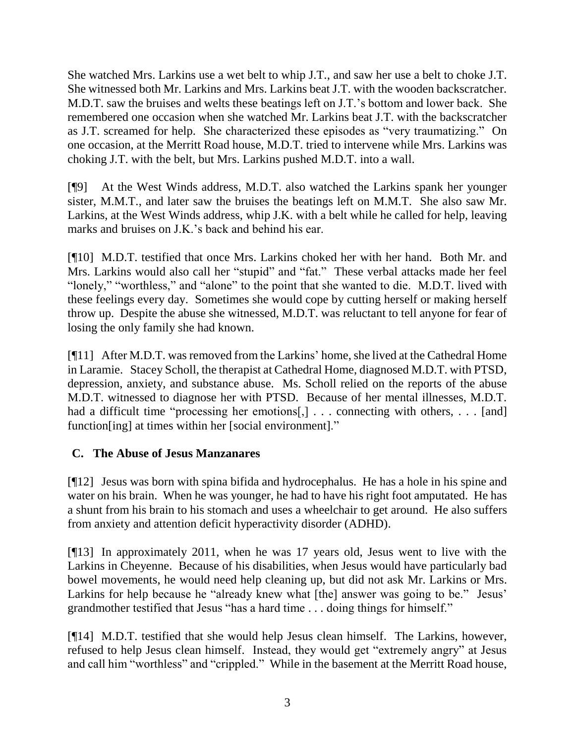She watched Mrs. Larkins use a wet belt to whip J.T., and saw her use a belt to choke J.T. She witnessed both Mr. Larkins and Mrs. Larkins beat J.T. with the wooden backscratcher. M.D.T. saw the bruises and welts these beatings left on J.T.'s bottom and lower back. She remembered one occasion when she watched Mr. Larkins beat J.T. with the backscratcher as J.T. screamed for help. She characterized these episodes as "very traumatizing." On one occasion, at the Merritt Road house, M.D.T. tried to intervene while Mrs. Larkins was choking J.T. with the belt, but Mrs. Larkins pushed M.D.T. into a wall.

[¶9] At the West Winds address, M.D.T. also watched the Larkins spank her younger sister, M.M.T., and later saw the bruises the beatings left on M.M.T. She also saw Mr. Larkins, at the West Winds address, whip J.K. with a belt while he called for help, leaving marks and bruises on J.K.'s back and behind his ear.

[¶10] M.D.T. testified that once Mrs. Larkins choked her with her hand. Both Mr. and Mrs. Larkins would also call her "stupid" and "fat." These verbal attacks made her feel "lonely," "worthless," and "alone" to the point that she wanted to die. M.D.T. lived with these feelings every day. Sometimes she would cope by cutting herself or making herself throw up. Despite the abuse she witnessed, M.D.T. was reluctant to tell anyone for fear of losing the only family she had known.

[¶11] After M.D.T. was removed from the Larkins' home, she lived at the Cathedral Home in Laramie. Stacey Scholl, the therapist at Cathedral Home, diagnosed M.D.T. with PTSD, depression, anxiety, and substance abuse. Ms. Scholl relied on the reports of the abuse M.D.T. witnessed to diagnose her with PTSD. Because of her mental illnesses, M.D.T. had a difficult time "processing her emotions[,] . . . connecting with others, . . . [and] function[ing] at times within her [social environment]."

# **C. The Abuse of Jesus Manzanares**

[¶12] Jesus was born with spina bifida and hydrocephalus. He has a hole in his spine and water on his brain. When he was younger, he had to have his right foot amputated. He has a shunt from his brain to his stomach and uses a wheelchair to get around. He also suffers from anxiety and attention deficit hyperactivity disorder (ADHD).

[¶13] In approximately 2011, when he was 17 years old, Jesus went to live with the Larkins in Cheyenne. Because of his disabilities, when Jesus would have particularly bad bowel movements, he would need help cleaning up, but did not ask Mr. Larkins or Mrs. Larkins for help because he "already knew what [the] answer was going to be." Jesus' grandmother testified that Jesus "has a hard time . . . doing things for himself."

[¶14] M.D.T. testified that she would help Jesus clean himself. The Larkins, however, refused to help Jesus clean himself. Instead, they would get "extremely angry" at Jesus and call him "worthless" and "crippled." While in the basement at the Merritt Road house,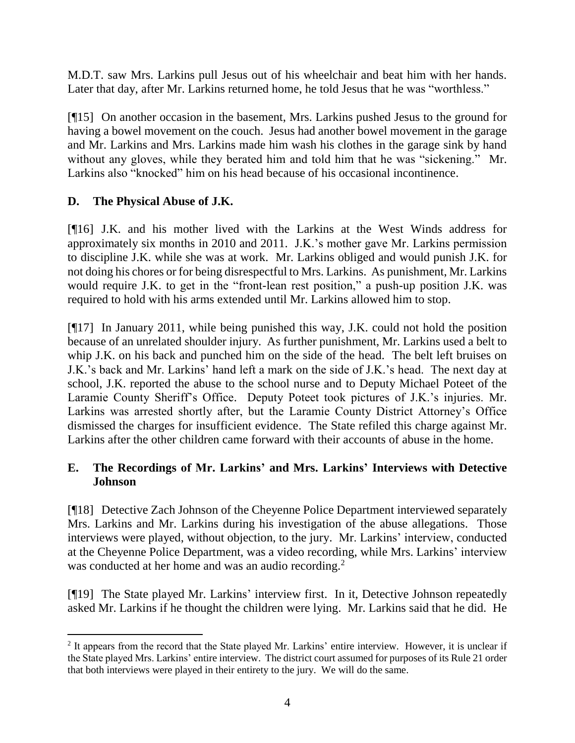M.D.T. saw Mrs. Larkins pull Jesus out of his wheelchair and beat him with her hands. Later that day, after Mr. Larkins returned home, he told Jesus that he was "worthless."

[¶15] On another occasion in the basement, Mrs. Larkins pushed Jesus to the ground for having a bowel movement on the couch. Jesus had another bowel movement in the garage and Mr. Larkins and Mrs. Larkins made him wash his clothes in the garage sink by hand without any gloves, while they berated him and told him that he was "sickening." Mr. Larkins also "knocked" him on his head because of his occasional incontinence.

# **D. The Physical Abuse of J.K.**

[¶16] J.K. and his mother lived with the Larkins at the West Winds address for approximately six months in 2010 and 2011. J.K.'s mother gave Mr. Larkins permission to discipline J.K. while she was at work. Mr. Larkins obliged and would punish J.K. for not doing his chores or for being disrespectful to Mrs. Larkins. As punishment, Mr. Larkins would require J.K. to get in the "front-lean rest position," a push-up position J.K. was required to hold with his arms extended until Mr. Larkins allowed him to stop.

[¶17] In January 2011, while being punished this way, J.K. could not hold the position because of an unrelated shoulder injury. As further punishment, Mr. Larkins used a belt to whip J.K. on his back and punched him on the side of the head. The belt left bruises on J.K.'s back and Mr. Larkins' hand left a mark on the side of J.K.'s head. The next day at school, J.K. reported the abuse to the school nurse and to Deputy Michael Poteet of the Laramie County Sheriff's Office. Deputy Poteet took pictures of J.K.'s injuries. Mr. Larkins was arrested shortly after, but the Laramie County District Attorney's Office dismissed the charges for insufficient evidence. The State refiled this charge against Mr. Larkins after the other children came forward with their accounts of abuse in the home.

# **E. The Recordings of Mr. Larkins' and Mrs. Larkins' Interviews with Detective Johnson**

[¶18] Detective Zach Johnson of the Cheyenne Police Department interviewed separately Mrs. Larkins and Mr. Larkins during his investigation of the abuse allegations. Those interviews were played, without objection, to the jury. Mr. Larkins' interview, conducted at the Cheyenne Police Department, was a video recording, while Mrs. Larkins' interview was conducted at her home and was an audio recording.<sup>2</sup>

[¶19] The State played Mr. Larkins' interview first. In it, Detective Johnson repeatedly asked Mr. Larkins if he thought the children were lying. Mr. Larkins said that he did. He

 <sup>2</sup> It appears from the record that the State played Mr. Larkins' entire interview. However, it is unclear if the State played Mrs. Larkins' entire interview. The district court assumed for purposes of its Rule 21 order that both interviews were played in their entirety to the jury. We will do the same.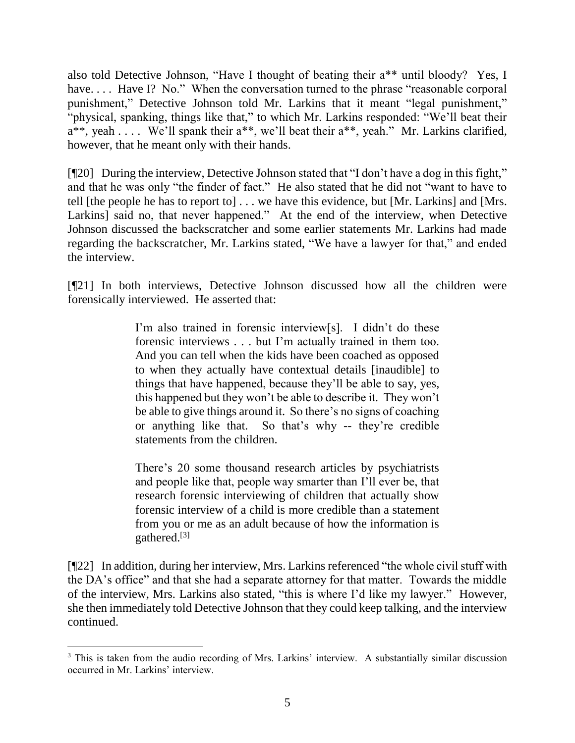also told Detective Johnson, "Have I thought of beating their a\*\* until bloody? Yes, I have.... Have I? No." When the conversation turned to the phrase "reasonable corporal punishment," Detective Johnson told Mr. Larkins that it meant "legal punishment," "physical, spanking, things like that," to which Mr. Larkins responded: "We'll beat their  $a^{**}$ , yeah . . . . We'll spank their  $a^{**}$ , we'll beat their  $a^{**}$ , yeah." Mr. Larkins clarified, however, that he meant only with their hands.

[¶20] During the interview, Detective Johnson stated that "I don't have a dog in this fight," and that he was only "the finder of fact." He also stated that he did not "want to have to tell [the people he has to report to] . . . we have this evidence, but [Mr. Larkins] and [Mrs. Larkins] said no, that never happened." At the end of the interview, when Detective Johnson discussed the backscratcher and some earlier statements Mr. Larkins had made regarding the backscratcher, Mr. Larkins stated, "We have a lawyer for that," and ended the interview.

[¶21] In both interviews, Detective Johnson discussed how all the children were forensically interviewed. He asserted that:

> I'm also trained in forensic interview[s]. I didn't do these forensic interviews . . . but I'm actually trained in them too. And you can tell when the kids have been coached as opposed to when they actually have contextual details [inaudible] to things that have happened, because they'll be able to say, yes, this happened but they won't be able to describe it. They won't be able to give things around it. So there's no signs of coaching or anything like that. So that's why -- they're credible statements from the children.

> There's 20 some thousand research articles by psychiatrists and people like that, people way smarter than I'll ever be, that research forensic interviewing of children that actually show forensic interview of a child is more credible than a statement from you or me as an adult because of how the information is gathered.[3]

[¶22] In addition, during her interview, Mrs. Larkins referenced "the whole civil stuff with the DA's office" and that she had a separate attorney for that matter. Towards the middle of the interview, Mrs. Larkins also stated, "this is where I'd like my lawyer." However, she then immediately told Detective Johnson that they could keep talking, and the interview continued.

<sup>&</sup>lt;sup>3</sup> This is taken from the audio recording of Mrs. Larkins' interview. A substantially similar discussion occurred in Mr. Larkins' interview.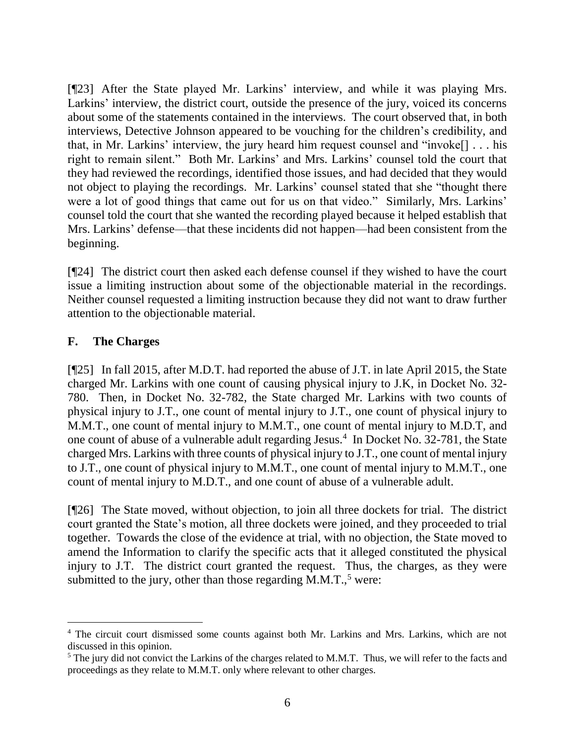[¶23] After the State played Mr. Larkins' interview, and while it was playing Mrs. Larkins' interview, the district court, outside the presence of the jury, voiced its concerns about some of the statements contained in the interviews. The court observed that, in both interviews, Detective Johnson appeared to be vouching for the children's credibility, and that, in Mr. Larkins' interview, the jury heard him request counsel and "invoke[] . . . his right to remain silent." Both Mr. Larkins' and Mrs. Larkins' counsel told the court that they had reviewed the recordings, identified those issues, and had decided that they would not object to playing the recordings. Mr. Larkins' counsel stated that she "thought there were a lot of good things that came out for us on that video." Similarly, Mrs. Larkins' counsel told the court that she wanted the recording played because it helped establish that Mrs. Larkins' defense—that these incidents did not happen—had been consistent from the beginning.

[¶24] The district court then asked each defense counsel if they wished to have the court issue a limiting instruction about some of the objectionable material in the recordings. Neither counsel requested a limiting instruction because they did not want to draw further attention to the objectionable material.

### **F. The Charges**

[¶25] In fall 2015, after M.D.T. had reported the abuse of J.T. in late April 2015, the State charged Mr. Larkins with one count of causing physical injury to J.K, in Docket No. 32- 780. Then, in Docket No. 32-782, the State charged Mr. Larkins with two counts of physical injury to J.T., one count of mental injury to J.T., one count of physical injury to M.M.T., one count of mental injury to M.M.T., one count of mental injury to M.D.T, and one count of abuse of a vulnerable adult regarding Jesus.<sup>4</sup> In Docket No. 32-781, the State charged Mrs. Larkins with three counts of physical injury to J.T., one count of mental injury to J.T., one count of physical injury to M.M.T., one count of mental injury to M.M.T., one count of mental injury to M.D.T., and one count of abuse of a vulnerable adult.

[¶26] The State moved, without objection, to join all three dockets for trial. The district court granted the State's motion, all three dockets were joined, and they proceeded to trial together. Towards the close of the evidence at trial, with no objection, the State moved to amend the Information to clarify the specific acts that it alleged constituted the physical injury to J.T. The district court granted the request. Thus, the charges, as they were submitted to the jury, other than those regarding  $\hat{M}$ .M.T.,<sup>5</sup> were:

<sup>4</sup> The circuit court dismissed some counts against both Mr. Larkins and Mrs. Larkins, which are not discussed in this opinion.

 $<sup>5</sup>$  The jury did not convict the Larkins of the charges related to M.M.T. Thus, we will refer to the facts and</sup> proceedings as they relate to M.M.T. only where relevant to other charges.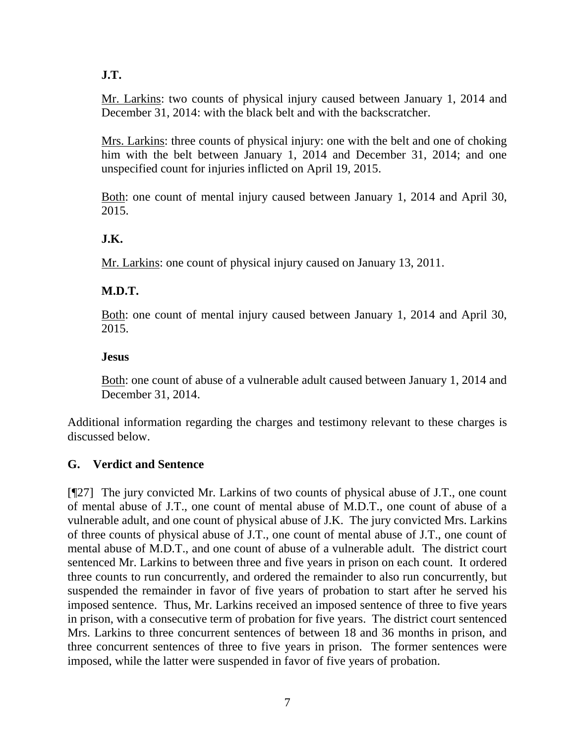**J.T.**

Mr. Larkins: two counts of physical injury caused between January 1, 2014 and December 31, 2014: with the black belt and with the backscratcher.

Mrs. Larkins: three counts of physical injury: one with the belt and one of choking him with the belt between January 1, 2014 and December 31, 2014; and one unspecified count for injuries inflicted on April 19, 2015.

Both: one count of mental injury caused between January 1, 2014 and April 30, 2015.

# **J.K.**

Mr. Larkins: one count of physical injury caused on January 13, 2011.

# **M.D.T.**

Both: one count of mental injury caused between January 1, 2014 and April 30, 2015.

### **Jesus**

Both: one count of abuse of a vulnerable adult caused between January 1, 2014 and December 31, 2014.

Additional information regarding the charges and testimony relevant to these charges is discussed below.

# **G. Verdict and Sentence**

[¶27] The jury convicted Mr. Larkins of two counts of physical abuse of J.T., one count of mental abuse of J.T., one count of mental abuse of M.D.T., one count of abuse of a vulnerable adult, and one count of physical abuse of J.K. The jury convicted Mrs. Larkins of three counts of physical abuse of J.T., one count of mental abuse of J.T., one count of mental abuse of M.D.T., and one count of abuse of a vulnerable adult. The district court sentenced Mr. Larkins to between three and five years in prison on each count. It ordered three counts to run concurrently, and ordered the remainder to also run concurrently, but suspended the remainder in favor of five years of probation to start after he served his imposed sentence. Thus, Mr. Larkins received an imposed sentence of three to five years in prison, with a consecutive term of probation for five years. The district court sentenced Mrs. Larkins to three concurrent sentences of between 18 and 36 months in prison, and three concurrent sentences of three to five years in prison. The former sentences were imposed, while the latter were suspended in favor of five years of probation.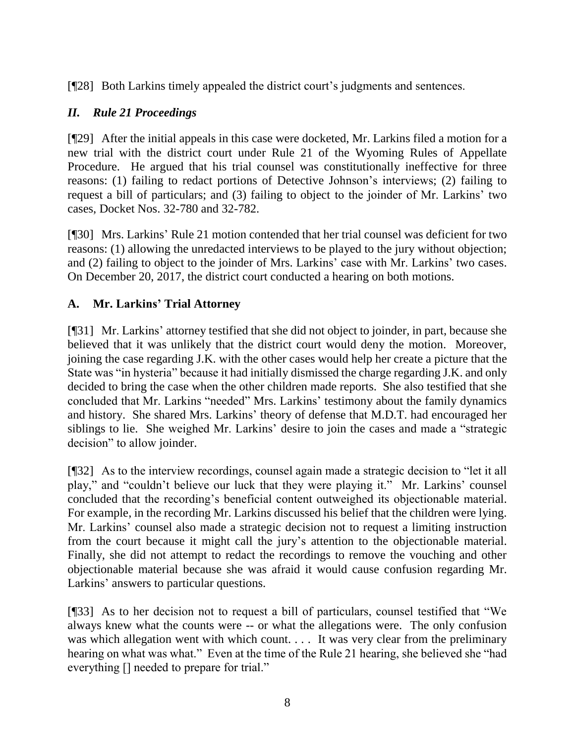[¶28] Both Larkins timely appealed the district court's judgments and sentences.

# *II. Rule 21 Proceedings*

[¶29] After the initial appeals in this case were docketed, Mr. Larkins filed a motion for a new trial with the district court under Rule 21 of the Wyoming Rules of Appellate Procedure. He argued that his trial counsel was constitutionally ineffective for three reasons: (1) failing to redact portions of Detective Johnson's interviews; (2) failing to request a bill of particulars; and (3) failing to object to the joinder of Mr. Larkins' two cases, Docket Nos. 32-780 and 32-782.

[¶30] Mrs. Larkins' Rule 21 motion contended that her trial counsel was deficient for two reasons: (1) allowing the unredacted interviews to be played to the jury without objection; and (2) failing to object to the joinder of Mrs. Larkins' case with Mr. Larkins' two cases. On December 20, 2017, the district court conducted a hearing on both motions.

# **A. Mr. Larkins' Trial Attorney**

[¶31] Mr. Larkins' attorney testified that she did not object to joinder, in part, because she believed that it was unlikely that the district court would deny the motion. Moreover, joining the case regarding J.K. with the other cases would help her create a picture that the State was "in hysteria" because it had initially dismissed the charge regarding J.K. and only decided to bring the case when the other children made reports. She also testified that she concluded that Mr. Larkins "needed" Mrs. Larkins' testimony about the family dynamics and history. She shared Mrs. Larkins' theory of defense that M.D.T. had encouraged her siblings to lie. She weighed Mr. Larkins' desire to join the cases and made a "strategic decision" to allow joinder.

[¶32] As to the interview recordings, counsel again made a strategic decision to "let it all play," and "couldn't believe our luck that they were playing it." Mr. Larkins' counsel concluded that the recording's beneficial content outweighed its objectionable material. For example, in the recording Mr. Larkins discussed his belief that the children were lying. Mr. Larkins' counsel also made a strategic decision not to request a limiting instruction from the court because it might call the jury's attention to the objectionable material. Finally, she did not attempt to redact the recordings to remove the vouching and other objectionable material because she was afraid it would cause confusion regarding Mr. Larkins' answers to particular questions.

[¶33] As to her decision not to request a bill of particulars, counsel testified that "We always knew what the counts were -- or what the allegations were. The only confusion was which allegation went with which count. . . . It was very clear from the preliminary hearing on what was what." Even at the time of the Rule 21 hearing, she believed she "had everything [] needed to prepare for trial."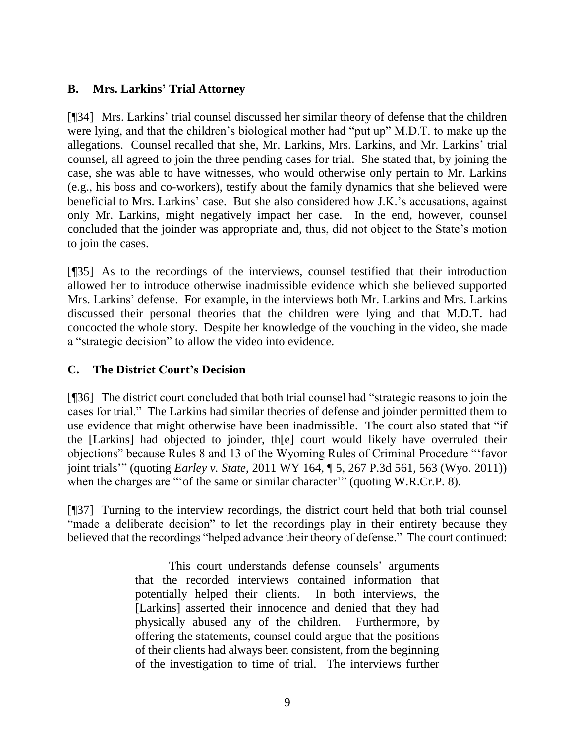## **B. Mrs. Larkins' Trial Attorney**

[¶34] Mrs. Larkins' trial counsel discussed her similar theory of defense that the children were lying, and that the children's biological mother had "put up" M.D.T. to make up the allegations. Counsel recalled that she, Mr. Larkins, Mrs. Larkins, and Mr. Larkins' trial counsel, all agreed to join the three pending cases for trial. She stated that, by joining the case, she was able to have witnesses, who would otherwise only pertain to Mr. Larkins (e.g., his boss and co-workers), testify about the family dynamics that she believed were beneficial to Mrs. Larkins' case. But she also considered how J.K.'s accusations, against only Mr. Larkins, might negatively impact her case. In the end, however, counsel concluded that the joinder was appropriate and, thus, did not object to the State's motion to join the cases.

[¶35] As to the recordings of the interviews, counsel testified that their introduction allowed her to introduce otherwise inadmissible evidence which she believed supported Mrs. Larkins' defense. For example, in the interviews both Mr. Larkins and Mrs. Larkins discussed their personal theories that the children were lying and that M.D.T. had concocted the whole story. Despite her knowledge of the vouching in the video, she made a "strategic decision" to allow the video into evidence.

## **C. The District Court's Decision**

[¶36] The district court concluded that both trial counsel had "strategic reasons to join the cases for trial." The Larkins had similar theories of defense and joinder permitted them to use evidence that might otherwise have been inadmissible. The court also stated that "if the [Larkins] had objected to joinder, th[e] court would likely have overruled their objections" because Rules 8 and 13 of the Wyoming Rules of Criminal Procedure "'favor joint trials'" (quoting *Earley v. State*, 2011 WY 164, ¶ 5, 267 P.3d 561, 563 (Wyo. 2011)) when the charges are "'of the same or similar character'" (quoting W.R.Cr.P. 8).

[¶37] Turning to the interview recordings, the district court held that both trial counsel "made a deliberate decision" to let the recordings play in their entirety because they believed that the recordings "helped advance their theory of defense." The court continued:

> This court understands defense counsels' arguments that the recorded interviews contained information that potentially helped their clients. In both interviews, the [Larkins] asserted their innocence and denied that they had physically abused any of the children. Furthermore, by offering the statements, counsel could argue that the positions of their clients had always been consistent, from the beginning of the investigation to time of trial. The interviews further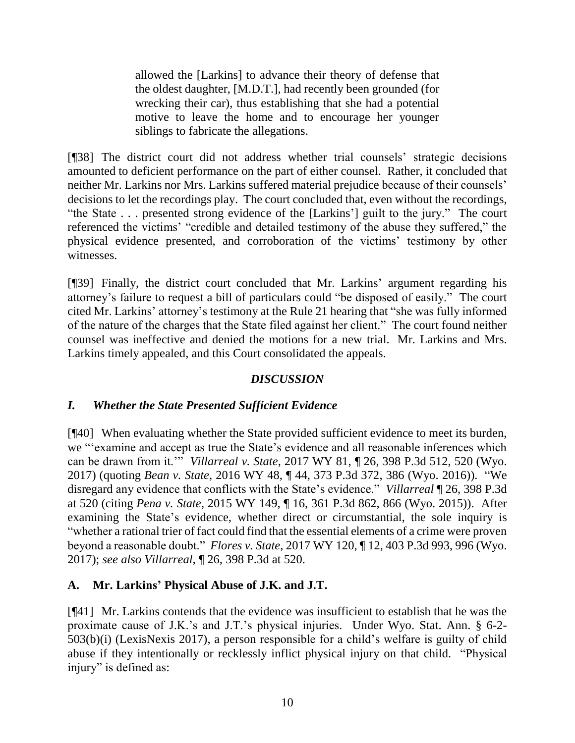allowed the [Larkins] to advance their theory of defense that the oldest daughter, [M.D.T.], had recently been grounded (for wrecking their car), thus establishing that she had a potential motive to leave the home and to encourage her younger siblings to fabricate the allegations.

[¶38] The district court did not address whether trial counsels' strategic decisions amounted to deficient performance on the part of either counsel. Rather, it concluded that neither Mr. Larkins nor Mrs. Larkins suffered material prejudice because of their counsels' decisions to let the recordings play. The court concluded that, even without the recordings, "the State . . . presented strong evidence of the [Larkins'] guilt to the jury." The court referenced the victims' "credible and detailed testimony of the abuse they suffered," the physical evidence presented, and corroboration of the victims' testimony by other witnesses.

[¶39] Finally, the district court concluded that Mr. Larkins' argument regarding his attorney's failure to request a bill of particulars could "be disposed of easily." The court cited Mr. Larkins' attorney's testimony at the Rule 21 hearing that "she was fully informed of the nature of the charges that the State filed against her client." The court found neither counsel was ineffective and denied the motions for a new trial. Mr. Larkins and Mrs. Larkins timely appealed, and this Court consolidated the appeals.

# *DISCUSSION*

### *I. Whether the State Presented Sufficient Evidence*

[¶40] When evaluating whether the State provided sufficient evidence to meet its burden, we "'examine and accept as true the State's evidence and all reasonable inferences which can be drawn from it.'" *Villarreal v. State*, 2017 WY 81, ¶ 26, 398 P.3d 512, 520 (Wyo. 2017) (quoting *Bean v. State*, 2016 WY 48, ¶ 44, 373 P.3d 372, 386 (Wyo. 2016)). "We disregard any evidence that conflicts with the State's evidence." *Villarreal* ¶ 26, 398 P.3d at 520 (citing *Pena v. State*, 2015 WY 149, ¶ 16, 361 P.3d 862, 866 (Wyo. 2015)). After examining the State's evidence, whether direct or circumstantial, the sole inquiry is "whether a rational trier of fact could find that the essential elements of a crime were proven beyond a reasonable doubt." *Flores v. State*, 2017 WY 120, ¶ 12, 403 P.3d 993, 996 (Wyo. 2017); *see also Villarreal*, ¶ 26, 398 P.3d at 520.

# **A. Mr. Larkins' Physical Abuse of J.K. and J.T.**

[¶41] Mr. Larkins contends that the evidence was insufficient to establish that he was the proximate cause of J.K.'s and J.T.'s physical injuries. Under Wyo. Stat. Ann. § 6-2- 503(b)(i) (LexisNexis 2017), a person responsible for a child's welfare is guilty of child abuse if they intentionally or recklessly inflict physical injury on that child. "Physical injury" is defined as: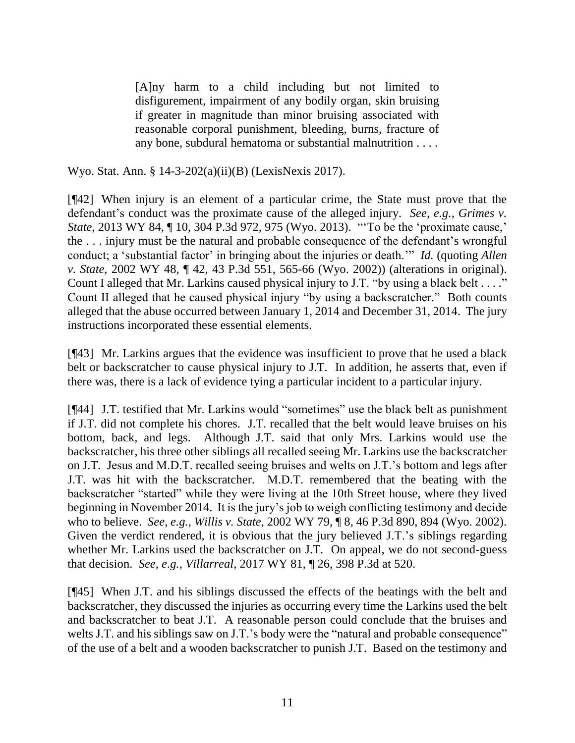[A]ny harm to a child including but not limited to disfigurement, impairment of any bodily organ, skin bruising if greater in magnitude than minor bruising associated with reasonable corporal punishment, bleeding, burns, fracture of any bone, subdural hematoma or substantial malnutrition . . . .

Wyo. Stat. Ann. § 14-3-202(a)(ii)(B) (LexisNexis 2017).

[¶42] When injury is an element of a particular crime, the State must prove that the defendant's conduct was the proximate cause of the alleged injury. *See, e.g.*, *Grimes v. State*, 2013 WY 84, 10, 304 P.3d 972, 975 (Wyo. 2013). "To be the 'proximate cause,' the . . . injury must be the natural and probable consequence of the defendant's wrongful conduct; a 'substantial factor' in bringing about the injuries or death.'" *Id.* (quoting *Allen v. State*, 2002 WY 48, ¶ 42, 43 P.3d 551, 565-66 (Wyo. 2002)) (alterations in original). Count I alleged that Mr. Larkins caused physical injury to J.T. "by using a black belt . . . ." Count II alleged that he caused physical injury "by using a backscratcher." Both counts alleged that the abuse occurred between January 1, 2014 and December 31, 2014. The jury instructions incorporated these essential elements.

[¶43] Mr. Larkins argues that the evidence was insufficient to prove that he used a black belt or backscratcher to cause physical injury to J.T. In addition, he asserts that, even if there was, there is a lack of evidence tying a particular incident to a particular injury.

[¶44] J.T. testified that Mr. Larkins would "sometimes" use the black belt as punishment if J.T. did not complete his chores. J.T. recalled that the belt would leave bruises on his bottom, back, and legs. Although J.T. said that only Mrs. Larkins would use the backscratcher, his three other siblings all recalled seeing Mr. Larkins use the backscratcher on J.T. Jesus and M.D.T. recalled seeing bruises and welts on J.T.'s bottom and legs after J.T. was hit with the backscratcher. M.D.T. remembered that the beating with the backscratcher "started" while they were living at the 10th Street house, where they lived beginning in November 2014. It is the jury's job to weigh conflicting testimony and decide who to believe. *See, e.g.*, *Willis v. State*, 2002 WY 79, ¶ 8, 46 P.3d 890, 894 (Wyo. 2002). Given the verdict rendered, it is obvious that the jury believed J.T.'s siblings regarding whether Mr. Larkins used the backscratcher on J.T. On appeal, we do not second-guess that decision. *See, e.g.*, *Villarreal*, 2017 WY 81, ¶ 26, 398 P.3d at 520.

[¶45] When J.T. and his siblings discussed the effects of the beatings with the belt and backscratcher, they discussed the injuries as occurring every time the Larkins used the belt and backscratcher to beat J.T. A reasonable person could conclude that the bruises and welts J.T. and his siblings saw on J.T.'s body were the "natural and probable consequence" of the use of a belt and a wooden backscratcher to punish J.T. Based on the testimony and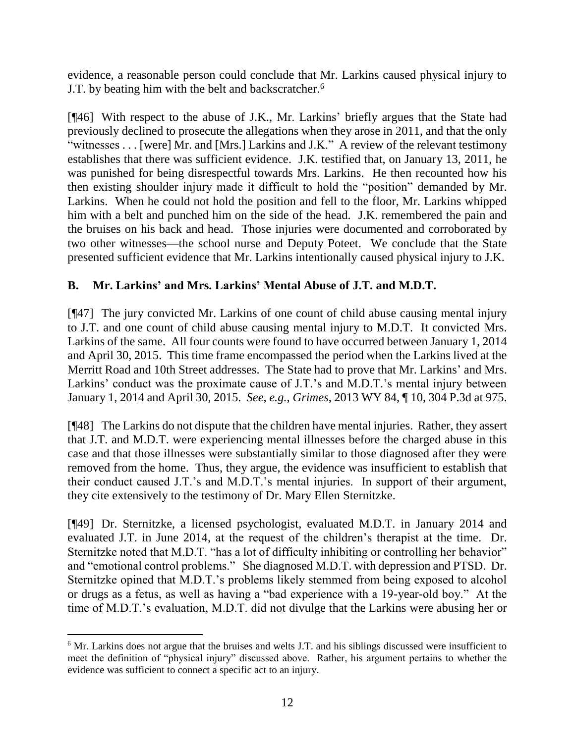evidence, a reasonable person could conclude that Mr. Larkins caused physical injury to J.T. by beating him with the belt and backscratcher.<sup>6</sup>

[¶46] With respect to the abuse of J.K., Mr. Larkins' briefly argues that the State had previously declined to prosecute the allegations when they arose in 2011, and that the only "witnesses . . . [were] Mr. and [Mrs.] Larkins and J.K." A review of the relevant testimony establishes that there was sufficient evidence. J.K. testified that, on January 13, 2011, he was punished for being disrespectful towards Mrs. Larkins. He then recounted how his then existing shoulder injury made it difficult to hold the "position" demanded by Mr. Larkins. When he could not hold the position and fell to the floor, Mr. Larkins whipped him with a belt and punched him on the side of the head. J.K. remembered the pain and the bruises on his back and head. Those injuries were documented and corroborated by two other witnesses—the school nurse and Deputy Poteet. We conclude that the State presented sufficient evidence that Mr. Larkins intentionally caused physical injury to J.K.

# **B. Mr. Larkins' and Mrs. Larkins' Mental Abuse of J.T. and M.D.T.**

[¶47] The jury convicted Mr. Larkins of one count of child abuse causing mental injury to J.T. and one count of child abuse causing mental injury to M.D.T. It convicted Mrs. Larkins of the same. All four counts were found to have occurred between January 1, 2014 and April 30, 2015. This time frame encompassed the period when the Larkins lived at the Merritt Road and 10th Street addresses. The State had to prove that Mr. Larkins' and Mrs. Larkins' conduct was the proximate cause of J.T.'s and M.D.T.'s mental injury between January 1, 2014 and April 30, 2015. *See, e.g.*, *Grimes*, 2013 WY 84, ¶ 10, 304 P.3d at 975.

[¶48] The Larkins do not dispute that the children have mental injuries. Rather, they assert that J.T. and M.D.T. were experiencing mental illnesses before the charged abuse in this case and that those illnesses were substantially similar to those diagnosed after they were removed from the home. Thus, they argue, the evidence was insufficient to establish that their conduct caused J.T.'s and M.D.T.'s mental injuries. In support of their argument, they cite extensively to the testimony of Dr. Mary Ellen Sternitzke.

[¶49] Dr. Sternitzke, a licensed psychologist, evaluated M.D.T. in January 2014 and evaluated J.T. in June 2014, at the request of the children's therapist at the time. Dr. Sternitzke noted that M.D.T. "has a lot of difficulty inhibiting or controlling her behavior" and "emotional control problems." She diagnosed M.D.T. with depression and PTSD. Dr. Sternitzke opined that M.D.T.'s problems likely stemmed from being exposed to alcohol or drugs as a fetus, as well as having a "bad experience with a 19-year-old boy." At the time of M.D.T.'s evaluation, M.D.T. did not divulge that the Larkins were abusing her or

 <sup>6</sup> Mr. Larkins does not argue that the bruises and welts J.T. and his siblings discussed were insufficient to meet the definition of "physical injury" discussed above. Rather, his argument pertains to whether the evidence was sufficient to connect a specific act to an injury.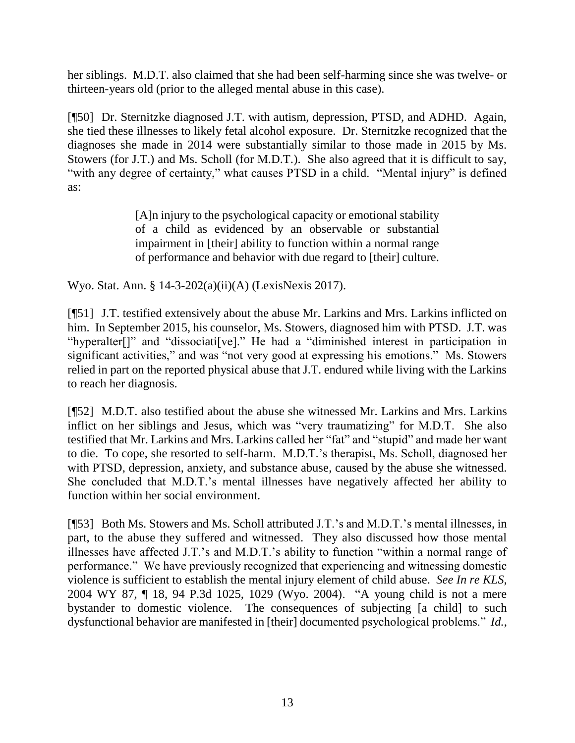her siblings. M.D.T. also claimed that she had been self-harming since she was twelve- or thirteen-years old (prior to the alleged mental abuse in this case).

[¶50] Dr. Sternitzke diagnosed J.T. with autism, depression, PTSD, and ADHD. Again, she tied these illnesses to likely fetal alcohol exposure. Dr. Sternitzke recognized that the diagnoses she made in 2014 were substantially similar to those made in 2015 by Ms. Stowers (for J.T.) and Ms. Scholl (for M.D.T.). She also agreed that it is difficult to say, "with any degree of certainty," what causes PTSD in a child. "Mental injury" is defined as:

> [A]n injury to the psychological capacity or emotional stability of a child as evidenced by an observable or substantial impairment in [their] ability to function within a normal range of performance and behavior with due regard to [their] culture.

Wyo. Stat. Ann. § 14-3-202(a)(ii)(A) (LexisNexis 2017).

[¶51] J.T. testified extensively about the abuse Mr. Larkins and Mrs. Larkins inflicted on him. In September 2015, his counselor, Ms. Stowers, diagnosed him with PTSD. J.T. was "hyperalter[]" and "dissociati[ve]." He had a "diminished interest in participation in significant activities," and was "not very good at expressing his emotions." Ms. Stowers relied in part on the reported physical abuse that J.T. endured while living with the Larkins to reach her diagnosis.

[¶52] M.D.T. also testified about the abuse she witnessed Mr. Larkins and Mrs. Larkins inflict on her siblings and Jesus, which was "very traumatizing" for M.D.T. She also testified that Mr. Larkins and Mrs. Larkins called her "fat" and "stupid" and made her want to die. To cope, she resorted to self-harm. M.D.T.'s therapist, Ms. Scholl, diagnosed her with PTSD, depression, anxiety, and substance abuse, caused by the abuse she witnessed. She concluded that M.D.T.'s mental illnesses have negatively affected her ability to function within her social environment.

[¶53] Both Ms. Stowers and Ms. Scholl attributed J.T.'s and M.D.T.'s mental illnesses, in part, to the abuse they suffered and witnessed. They also discussed how those mental illnesses have affected J.T.'s and M.D.T.'s ability to function "within a normal range of performance." We have previously recognized that experiencing and witnessing domestic violence is sufficient to establish the mental injury element of child abuse. *See In re KLS*, 2004 WY 87, ¶ 18, 94 P.3d 1025, 1029 (Wyo. 2004). "A young child is not a mere bystander to domestic violence. The consequences of subjecting [a child] to such dysfunctional behavior are manifested in [their] documented psychological problems." *Id.*,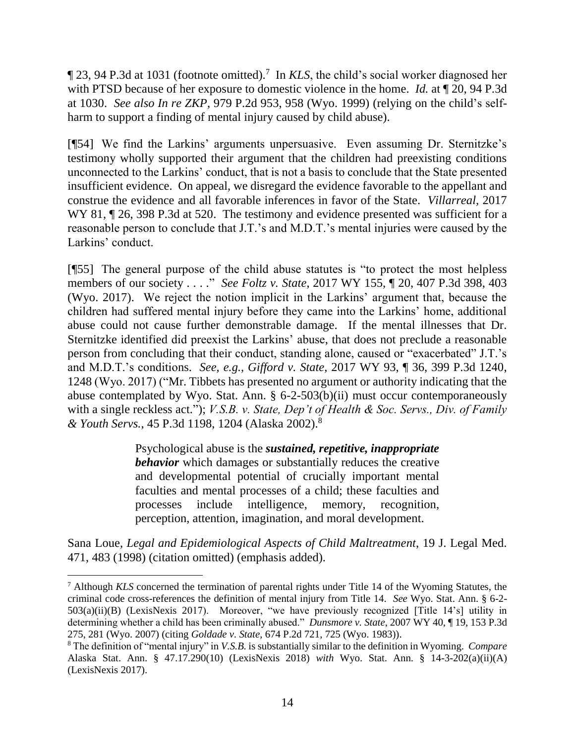123, 94 P.3d at 1031 (footnote omitted).<sup>7</sup> In *KLS*, the child's social worker diagnosed her with PTSD because of her exposure to domestic violence in the home. *Id.* at ¶ 20, 94 P.3d at 1030. *See also In re ZKP*, 979 P.2d 953, 958 (Wyo. 1999) (relying on the child's selfharm to support a finding of mental injury caused by child abuse).

[¶54] We find the Larkins' arguments unpersuasive. Even assuming Dr. Sternitzke's testimony wholly supported their argument that the children had preexisting conditions unconnected to the Larkins' conduct, that is not a basis to conclude that the State presented insufficient evidence. On appeal, we disregard the evidence favorable to the appellant and construe the evidence and all favorable inferences in favor of the State. *Villarreal*, 2017 WY 81,  $\sqrt{26}$ , 398 P.3d at 520. The testimony and evidence presented was sufficient for a reasonable person to conclude that J.T.'s and M.D.T.'s mental injuries were caused by the Larkins' conduct.

[¶55] The general purpose of the child abuse statutes is "to protect the most helpless members of our society . . . ." *See Foltz v. State*, 2017 WY 155, ¶ 20, 407 P.3d 398, 403 (Wyo. 2017). We reject the notion implicit in the Larkins' argument that, because the children had suffered mental injury before they came into the Larkins' home, additional abuse could not cause further demonstrable damage. If the mental illnesses that Dr. Sternitzke identified did preexist the Larkins' abuse, that does not preclude a reasonable person from concluding that their conduct, standing alone, caused or "exacerbated" J.T.'s and M.D.T.'s conditions. *See, e.g.*, *Gifford v. State*, 2017 WY 93, ¶ 36, 399 P.3d 1240, 1248 (Wyo. 2017) ("Mr. Tibbets has presented no argument or authority indicating that the abuse contemplated by Wyo. Stat. Ann. § 6-2-503(b)(ii) must occur contemporaneously with a single reckless act."); *V.S.B. v. State, Dep't of Health & Soc. Servs., Div. of Family & Youth Servs.*, 45 P.3d 1198, 1204 (Alaska 2002).<sup>8</sup>

> Psychological abuse is the *sustained, repetitive, inappropriate behavior* which damages or substantially reduces the creative and developmental potential of crucially important mental faculties and mental processes of a child; these faculties and processes include intelligence, memory, recognition, perception, attention, imagination, and moral development.

Sana Loue, *Legal and Epidemiological Aspects of Child Maltreatment*, 19 J. Legal Med. 471, 483 (1998) (citation omitted) (emphasis added).

<sup>7</sup> Although *KLS* concerned the termination of parental rights under Title 14 of the Wyoming Statutes, the criminal code cross-references the definition of mental injury from Title 14. *See* Wyo. Stat. Ann. § 6-2- 503(a)(ii)(B) (LexisNexis 2017). Moreover, "we have previously recognized [Title 14's] utility in determining whether a child has been criminally abused." *Dunsmore v. State*, 2007 WY 40, ¶ 19, 153 P.3d 275, 281 (Wyo. 2007) (citing *Goldade v. State*, 674 P.2d 721, 725 (Wyo. 1983)).

<sup>8</sup> The definition of "mental injury" in *V.S.B.* is substantially similar to the definition in Wyoming. *Compare* Alaska Stat. Ann. § 47.17.290(10) (LexisNexis 2018) *with* Wyo. Stat. Ann. § 14-3-202(a)(ii)(A) (LexisNexis 2017).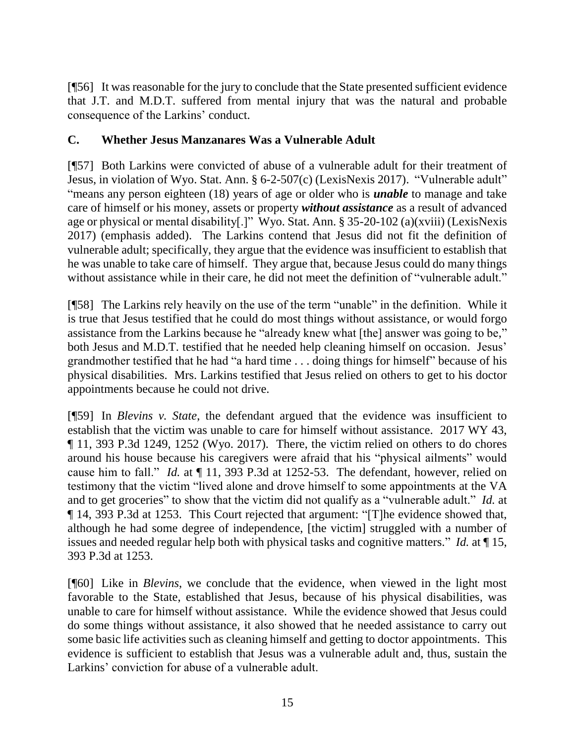[¶56] It was reasonable for the jury to conclude that the State presented sufficient evidence that J.T. and M.D.T. suffered from mental injury that was the natural and probable consequence of the Larkins' conduct.

## **C. Whether Jesus Manzanares Was a Vulnerable Adult**

[¶57] Both Larkins were convicted of abuse of a vulnerable adult for their treatment of Jesus, in violation of Wyo. Stat. Ann. § 6-2-507(c) (LexisNexis 2017). "Vulnerable adult" "means any person eighteen (18) years of age or older who is *unable* to manage and take care of himself or his money, assets or property *without assistance* as a result of advanced age or physical or mental disability[.]" Wyo. Stat. Ann. § 35-20-102 (a)(xviii) (LexisNexis 2017) (emphasis added). The Larkins contend that Jesus did not fit the definition of vulnerable adult; specifically, they argue that the evidence was insufficient to establish that he was unable to take care of himself. They argue that, because Jesus could do many things without assistance while in their care, he did not meet the definition of "vulnerable adult."

[¶58] The Larkins rely heavily on the use of the term "unable" in the definition. While it is true that Jesus testified that he could do most things without assistance, or would forgo assistance from the Larkins because he "already knew what [the] answer was going to be," both Jesus and M.D.T. testified that he needed help cleaning himself on occasion. Jesus' grandmother testified that he had "a hard time . . . doing things for himself" because of his physical disabilities. Mrs. Larkins testified that Jesus relied on others to get to his doctor appointments because he could not drive.

[¶59] In *Blevins v. State*, the defendant argued that the evidence was insufficient to establish that the victim was unable to care for himself without assistance. 2017 WY 43, ¶ 11, 393 P.3d 1249, 1252 (Wyo. 2017). There, the victim relied on others to do chores around his house because his caregivers were afraid that his "physical ailments" would cause him to fall." *Id.* at ¶ 11, 393 P.3d at 1252-53. The defendant, however, relied on testimony that the victim "lived alone and drove himself to some appointments at the VA and to get groceries" to show that the victim did not qualify as a "vulnerable adult." *Id.* at ¶ 14, 393 P.3d at 1253. This Court rejected that argument: "[T]he evidence showed that, although he had some degree of independence, [the victim] struggled with a number of issues and needed regular help both with physical tasks and cognitive matters." *Id.* at ¶ 15, 393 P.3d at 1253.

[¶60] Like in *Blevins*, we conclude that the evidence, when viewed in the light most favorable to the State, established that Jesus, because of his physical disabilities, was unable to care for himself without assistance. While the evidence showed that Jesus could do some things without assistance, it also showed that he needed assistance to carry out some basic life activities such as cleaning himself and getting to doctor appointments. This evidence is sufficient to establish that Jesus was a vulnerable adult and, thus, sustain the Larkins' conviction for abuse of a vulnerable adult.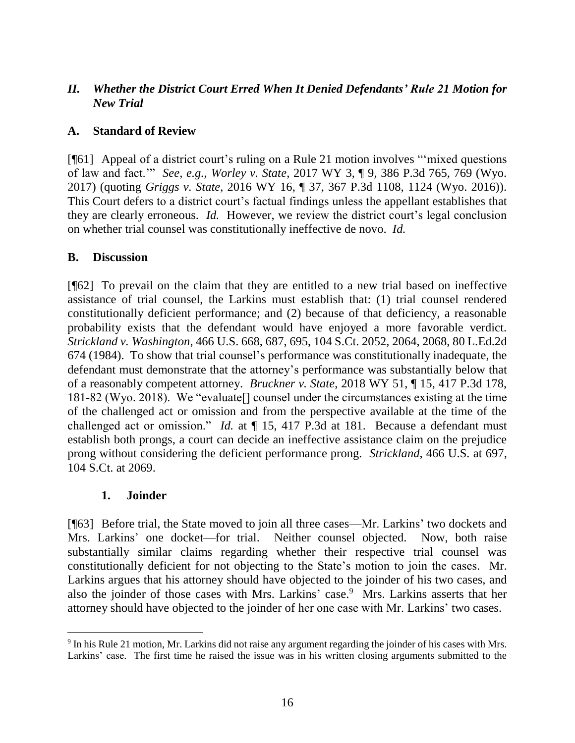## *II. Whether the District Court Erred When It Denied Defendants' Rule 21 Motion for New Trial*

### **A. Standard of Review**

[¶61] Appeal of a district court's ruling on a Rule 21 motion involves "'mixed questions of law and fact.'" *See, e.g.*, *Worley v. State*, 2017 WY 3, ¶ 9, 386 P.3d 765, 769 (Wyo. 2017) (quoting *Griggs v. State*, 2016 WY 16, ¶ 37, 367 P.3d 1108, 1124 (Wyo. 2016)). This Court defers to a district court's factual findings unless the appellant establishes that they are clearly erroneous. *Id.* However, we review the district court's legal conclusion on whether trial counsel was constitutionally ineffective de novo. *Id.*

### **B. Discussion**

[¶62] To prevail on the claim that they are entitled to a new trial based on ineffective assistance of trial counsel, the Larkins must establish that: (1) trial counsel rendered constitutionally deficient performance; and (2) because of that deficiency, a reasonable probability exists that the defendant would have enjoyed a more favorable verdict. *Strickland v. Washington*, 466 U.S. 668, 687, 695, 104 S.Ct. 2052, 2064, 2068, 80 L.Ed.2d 674 (1984). To show that trial counsel's performance was constitutionally inadequate, the defendant must demonstrate that the attorney's performance was substantially below that of a reasonably competent attorney. *Bruckner v. State*, 2018 WY 51, ¶ 15, 417 P.3d 178, 181-82 (Wyo. 2018). We "evaluate[] counsel under the circumstances existing at the time of the challenged act or omission and from the perspective available at the time of the challenged act or omission." *Id.* at  $\P$  15, 417 P.3d at 181. Because a defendant must establish both prongs, a court can decide an ineffective assistance claim on the prejudice prong without considering the deficient performance prong. *Strickland*, 466 U.S. at 697, 104 S.Ct. at 2069.

### **1. Joinder**

[¶63] Before trial, the State moved to join all three cases—Mr. Larkins' two dockets and Mrs. Larkins' one docket—for trial. Neither counsel objected. Now, both raise substantially similar claims regarding whether their respective trial counsel was constitutionally deficient for not objecting to the State's motion to join the cases. Mr. Larkins argues that his attorney should have objected to the joinder of his two cases, and also the joinder of those cases with Mrs. Larkins' case.<sup>9</sup> Mrs. Larkins asserts that her attorney should have objected to the joinder of her one case with Mr. Larkins' two cases.

 <sup>9</sup> In his Rule 21 motion, Mr. Larkins did not raise any argument regarding the joinder of his cases with Mrs. Larkins' case. The first time he raised the issue was in his written closing arguments submitted to the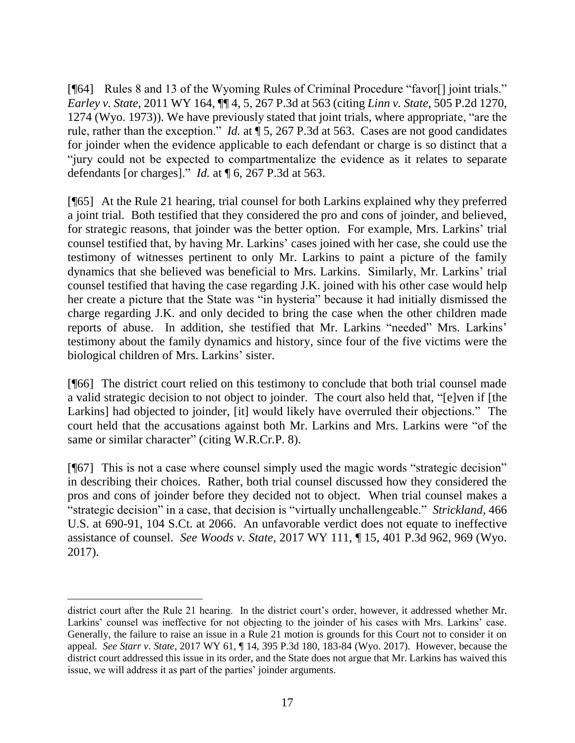[¶64] Rules 8 and 13 of the Wyoming Rules of Criminal Procedure "favor<sup>[1]</sup> joint trials." *Earley v. State*, 2011 WY 164, ¶¶ 4, 5, 267 P.3d at 563 (citing *Linn v. State*, 505 P.2d 1270, 1274 (Wyo. 1973)). We have previously stated that joint trials, where appropriate, "are the rule, rather than the exception." *Id.* at ¶ 5, 267 P.3d at 563. Cases are not good candidates for joinder when the evidence applicable to each defendant or charge is so distinct that a "jury could not be expected to compartmentalize the evidence as it relates to separate defendants [or charges]." *Id.* at ¶ 6, 267 P.3d at 563.

[¶65] At the Rule 21 hearing, trial counsel for both Larkins explained why they preferred a joint trial. Both testified that they considered the pro and cons of joinder, and believed, for strategic reasons, that joinder was the better option. For example, Mrs. Larkins' trial counsel testified that, by having Mr. Larkins' cases joined with her case, she could use the testimony of witnesses pertinent to only Mr. Larkins to paint a picture of the family dynamics that she believed was beneficial to Mrs. Larkins. Similarly, Mr. Larkins' trial counsel testified that having the case regarding J.K. joined with his other case would help her create a picture that the State was "in hysteria" because it had initially dismissed the charge regarding J.K. and only decided to bring the case when the other children made reports of abuse. In addition, she testified that Mr. Larkins "needed" Mrs. Larkins' testimony about the family dynamics and history, since four of the five victims were the biological children of Mrs. Larkins' sister.

[¶66] The district court relied on this testimony to conclude that both trial counsel made a valid strategic decision to not object to joinder. The court also held that, "[e]ven if [the Larkins] had objected to joinder, [it] would likely have overruled their objections." The court held that the accusations against both Mr. Larkins and Mrs. Larkins were "of the same or similar character" (citing W.R.Cr.P. 8).

[¶67] This is not a case where counsel simply used the magic words "strategic decision" in describing their choices. Rather, both trial counsel discussed how they considered the pros and cons of joinder before they decided not to object. When trial counsel makes a "strategic decision" in a case, that decision is "virtually unchallengeable." *Strickland*, 466 U.S. at 690-91, 104 S.Ct. at 2066. An unfavorable verdict does not equate to ineffective assistance of counsel. *See Woods v. State*, 2017 WY 111, ¶ 15, 401 P.3d 962, 969 (Wyo. 2017).

district court after the Rule 21 hearing. In the district court's order, however, it addressed whether Mr. Larkins' counsel was ineffective for not objecting to the joinder of his cases with Mrs. Larkins' case. Generally, the failure to raise an issue in a Rule 21 motion is grounds for this Court not to consider it on appeal. *See Starr v. State*, 2017 WY 61, ¶ 14, 395 P.3d 180, 183-84 (Wyo. 2017). However, because the district court addressed this issue in its order, and the State does not argue that Mr. Larkins has waived this issue, we will address it as part of the parties' joinder arguments.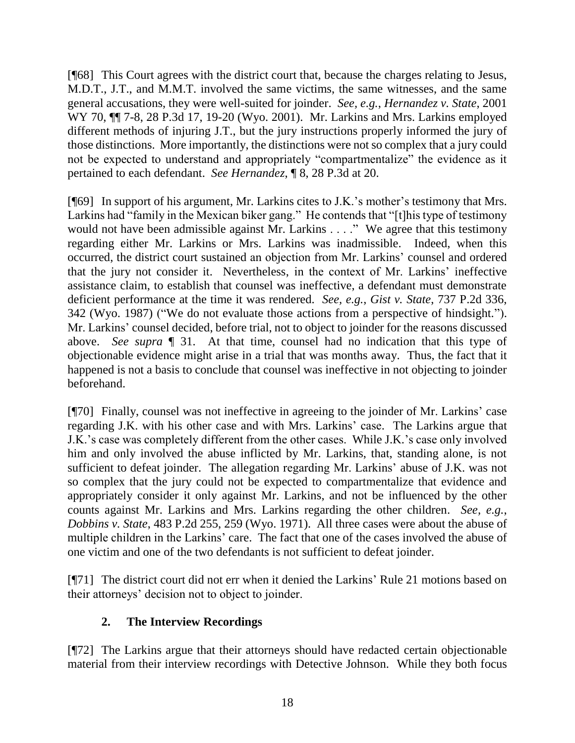[¶68] This Court agrees with the district court that, because the charges relating to Jesus, M.D.T., J.T., and M.M.T. involved the same victims, the same witnesses, and the same general accusations, they were well-suited for joinder. *See, e.g.*, *Hernandez v. State*, 2001 WY 70, ¶¶ 7-8, 28 P.3d 17, 19-20 (Wyo. 2001). Mr. Larkins and Mrs. Larkins employed different methods of injuring J.T., but the jury instructions properly informed the jury of those distinctions. More importantly, the distinctions were not so complex that a jury could not be expected to understand and appropriately "compartmentalize" the evidence as it pertained to each defendant. *See Hernandez*, ¶ 8, 28 P.3d at 20.

[¶69] In support of his argument, Mr. Larkins cites to J.K.'s mother's testimony that Mrs. Larkins had "family in the Mexican biker gang." He contends that "[t]his type of testimony would not have been admissible against Mr. Larkins . . . ." We agree that this testimony regarding either Mr. Larkins or Mrs. Larkins was inadmissible. Indeed, when this occurred, the district court sustained an objection from Mr. Larkins' counsel and ordered that the jury not consider it. Nevertheless, in the context of Mr. Larkins' ineffective assistance claim, to establish that counsel was ineffective, a defendant must demonstrate deficient performance at the time it was rendered. *See, e.g.*, *Gist v. State*, 737 P.2d 336, 342 (Wyo. 1987) ("We do not evaluate those actions from a perspective of hindsight."). Mr. Larkins' counsel decided, before trial, not to object to joinder for the reasons discussed above. *See supra* ¶ 31. At that time, counsel had no indication that this type of objectionable evidence might arise in a trial that was months away. Thus, the fact that it happened is not a basis to conclude that counsel was ineffective in not objecting to joinder beforehand.

[¶70] Finally, counsel was not ineffective in agreeing to the joinder of Mr. Larkins' case regarding J.K. with his other case and with Mrs. Larkins' case. The Larkins argue that J.K.'s case was completely different from the other cases. While J.K.'s case only involved him and only involved the abuse inflicted by Mr. Larkins, that, standing alone, is not sufficient to defeat joinder. The allegation regarding Mr. Larkins' abuse of J.K. was not so complex that the jury could not be expected to compartmentalize that evidence and appropriately consider it only against Mr. Larkins, and not be influenced by the other counts against Mr. Larkins and Mrs. Larkins regarding the other children. *See, e.g.*, *Dobbins v. State*, 483 P.2d 255, 259 (Wyo. 1971). All three cases were about the abuse of multiple children in the Larkins' care. The fact that one of the cases involved the abuse of one victim and one of the two defendants is not sufficient to defeat joinder.

[¶71] The district court did not err when it denied the Larkins' Rule 21 motions based on their attorneys' decision not to object to joinder.

# **2. The Interview Recordings**

[¶72] The Larkins argue that their attorneys should have redacted certain objectionable material from their interview recordings with Detective Johnson. While they both focus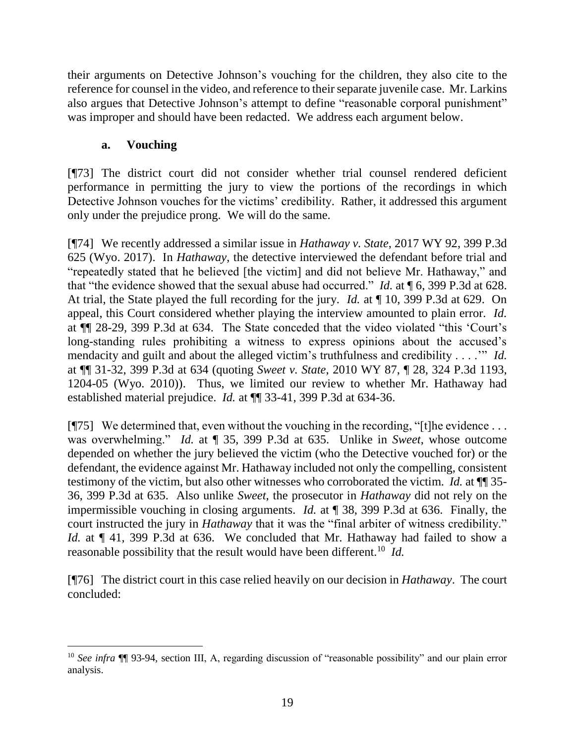their arguments on Detective Johnson's vouching for the children, they also cite to the reference for counsel in the video, and reference to their separate juvenile case. Mr. Larkins also argues that Detective Johnson's attempt to define "reasonable corporal punishment" was improper and should have been redacted. We address each argument below.

## **a. Vouching**

[¶73] The district court did not consider whether trial counsel rendered deficient performance in permitting the jury to view the portions of the recordings in which Detective Johnson vouches for the victims' credibility. Rather, it addressed this argument only under the prejudice prong. We will do the same.

[¶74] We recently addressed a similar issue in *Hathaway v. State*, 2017 WY 92, 399 P.3d 625 (Wyo. 2017). In *Hathaway*, the detective interviewed the defendant before trial and "repeatedly stated that he believed [the victim] and did not believe Mr. Hathaway," and that "the evidence showed that the sexual abuse had occurred." *Id.* at ¶ 6, 399 P.3d at 628. At trial, the State played the full recording for the jury. *Id.* at ¶ 10, 399 P.3d at 629. On appeal, this Court considered whether playing the interview amounted to plain error. *Id.* at ¶¶ 28-29, 399 P.3d at 634. The State conceded that the video violated "this 'Court's long-standing rules prohibiting a witness to express opinions about the accused's mendacity and guilt and about the alleged victim's truthfulness and credibility . . . .'" *Id.* at ¶¶ 31-32, 399 P.3d at 634 (quoting *Sweet v. State*, 2010 WY 87, ¶ 28, 324 P.3d 1193, 1204-05 (Wyo. 2010)). Thus, we limited our review to whether Mr. Hathaway had established material prejudice. *Id.* at ¶¶ 33-41, 399 P.3d at 634-36.

[ $[$ ]] We determined that, even without the vouching in the recording, "[t]he evidence ... was overwhelming." *Id.* at ¶ 35, 399 P.3d at 635. Unlike in *Sweet*, whose outcome depended on whether the jury believed the victim (who the Detective vouched for) or the defendant, the evidence against Mr. Hathaway included not only the compelling, consistent testimony of the victim, but also other witnesses who corroborated the victim. *Id.* at ¶¶ 35- 36, 399 P.3d at 635. Also unlike *Sweet*, the prosecutor in *Hathaway* did not rely on the impermissible vouching in closing arguments. *Id.* at ¶ 38, 399 P.3d at 636. Finally, the court instructed the jury in *Hathaway* that it was the "final arbiter of witness credibility." *Id.* at  $\P$  41, 399 P.3d at 636. We concluded that Mr. Hathaway had failed to show a reasonable possibility that the result would have been different.<sup>10</sup> *Id*.

[¶76] The district court in this case relied heavily on our decision in *Hathaway*. The court concluded:

 <sup>10</sup> *See infra* ¶¶ 93-94, section III, A, regarding discussion of "reasonable possibility" and our plain error analysis.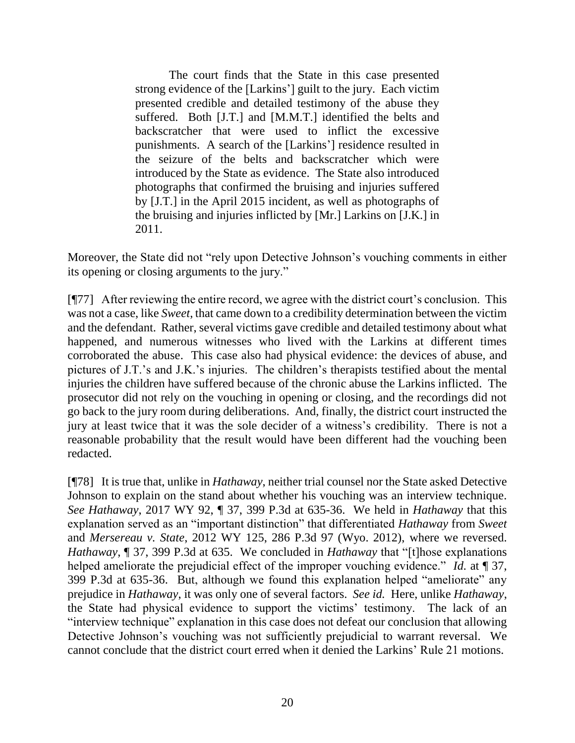The court finds that the State in this case presented strong evidence of the [Larkins'] guilt to the jury. Each victim presented credible and detailed testimony of the abuse they suffered. Both [J.T.] and [M.M.T.] identified the belts and backscratcher that were used to inflict the excessive punishments. A search of the [Larkins'] residence resulted in the seizure of the belts and backscratcher which were introduced by the State as evidence. The State also introduced photographs that confirmed the bruising and injuries suffered by [J.T.] in the April 2015 incident, as well as photographs of the bruising and injuries inflicted by [Mr.] Larkins on [J.K.] in 2011.

Moreover, the State did not "rely upon Detective Johnson's vouching comments in either its opening or closing arguments to the jury."

[¶77] After reviewing the entire record, we agree with the district court's conclusion. This was not a case, like *Sweet*, that came down to a credibility determination between the victim and the defendant. Rather, several victims gave credible and detailed testimony about what happened, and numerous witnesses who lived with the Larkins at different times corroborated the abuse. This case also had physical evidence: the devices of abuse, and pictures of J.T.'s and J.K.'s injuries. The children's therapists testified about the mental injuries the children have suffered because of the chronic abuse the Larkins inflicted. The prosecutor did not rely on the vouching in opening or closing, and the recordings did not go back to the jury room during deliberations. And, finally, the district court instructed the jury at least twice that it was the sole decider of a witness's credibility. There is not a reasonable probability that the result would have been different had the vouching been redacted.

[¶78] It is true that, unlike in *Hathaway*, neither trial counsel nor the State asked Detective Johnson to explain on the stand about whether his vouching was an interview technique. *See Hathaway*, 2017 WY 92, ¶ 37, 399 P.3d at 635-36. We held in *Hathaway* that this explanation served as an "important distinction" that differentiated *Hathaway* from *Sweet* and *Mersereau v. State*, 2012 WY 125, 286 P.3d 97 (Wyo. 2012), where we reversed. *Hathaway*, ¶ 37, 399 P.3d at 635. We concluded in *Hathaway* that "[t]hose explanations helped ameliorate the prejudicial effect of the improper vouching evidence." *Id.* at ¶ 37, 399 P.3d at 635-36. But, although we found this explanation helped "ameliorate" any prejudice in *Hathaway*, it was only one of several factors. *See id.* Here, unlike *Hathaway*, the State had physical evidence to support the victims' testimony. The lack of an "interview technique" explanation in this case does not defeat our conclusion that allowing Detective Johnson's vouching was not sufficiently prejudicial to warrant reversal. We cannot conclude that the district court erred when it denied the Larkins' Rule 21 motions.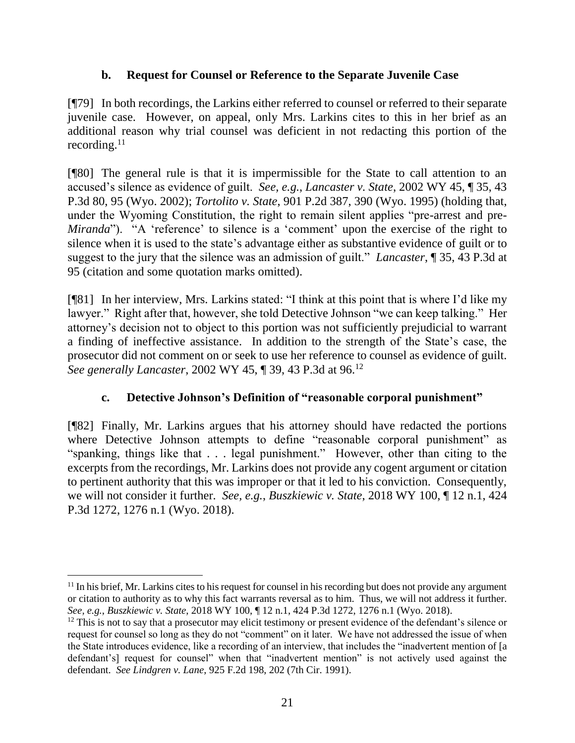### **b. Request for Counsel or Reference to the Separate Juvenile Case**

[¶79] In both recordings, the Larkins either referred to counsel or referred to their separate juvenile case. However, on appeal, only Mrs. Larkins cites to this in her brief as an additional reason why trial counsel was deficient in not redacting this portion of the recording. $11$ 

[¶80] The general rule is that it is impermissible for the State to call attention to an accused's silence as evidence of guilt. *See, e.g.*, *Lancaster v. State*, 2002 WY 45, ¶ 35, 43 P.3d 80, 95 (Wyo. 2002); *Tortolito v. State*, 901 P.2d 387, 390 (Wyo. 1995) (holding that, under the Wyoming Constitution, the right to remain silent applies "pre-arrest and pre-*Miranda*"). "A 'reference' to silence is a 'comment' upon the exercise of the right to silence when it is used to the state's advantage either as substantive evidence of guilt or to suggest to the jury that the silence was an admission of guilt." *Lancaster*, ¶ 35, 43 P.3d at 95 (citation and some quotation marks omitted).

[¶81] In her interview, Mrs. Larkins stated: "I think at this point that is where I'd like my lawyer." Right after that, however, she told Detective Johnson "we can keep talking." Her attorney's decision not to object to this portion was not sufficiently prejudicial to warrant a finding of ineffective assistance. In addition to the strength of the State's case, the prosecutor did not comment on or seek to use her reference to counsel as evidence of guilt. *See generally Lancaster*, 2002 WY 45, ¶ 39, 43 P.3d at 96.<sup>12</sup>

# **c. Detective Johnson's Definition of "reasonable corporal punishment"**

[¶82] Finally, Mr. Larkins argues that his attorney should have redacted the portions where Detective Johnson attempts to define "reasonable corporal punishment" as "spanking, things like that . . . legal punishment." However, other than citing to the excerpts from the recordings, Mr. Larkins does not provide any cogent argument or citation to pertinent authority that this was improper or that it led to his conviction. Consequently, we will not consider it further. *See, e.g.*, *Buszkiewic v. State*, 2018 WY 100, ¶ 12 n.1, 424 P.3d 1272, 1276 n.1 (Wyo. 2018).

<sup>&</sup>lt;sup>11</sup> In his brief, Mr. Larkins cites to his request for counsel in his recording but does not provide any argument or citation to authority as to why this fact warrants reversal as to him. Thus, we will not address it further. *See, e.g.*, *Buszkiewic v. State*, 2018 WY 100, ¶ 12 n.1, 424 P.3d 1272, 1276 n.1 (Wyo. 2018).

<sup>&</sup>lt;sup>12</sup> This is not to say that a prosecutor may elicit testimony or present evidence of the defendant's silence or request for counsel so long as they do not "comment" on it later. We have not addressed the issue of when the State introduces evidence, like a recording of an interview, that includes the "inadvertent mention of [a defendant's] request for counsel" when that "inadvertent mention" is not actively used against the defendant. *See Lindgren v. Lane*, 925 F.2d 198, 202 (7th Cir. 1991).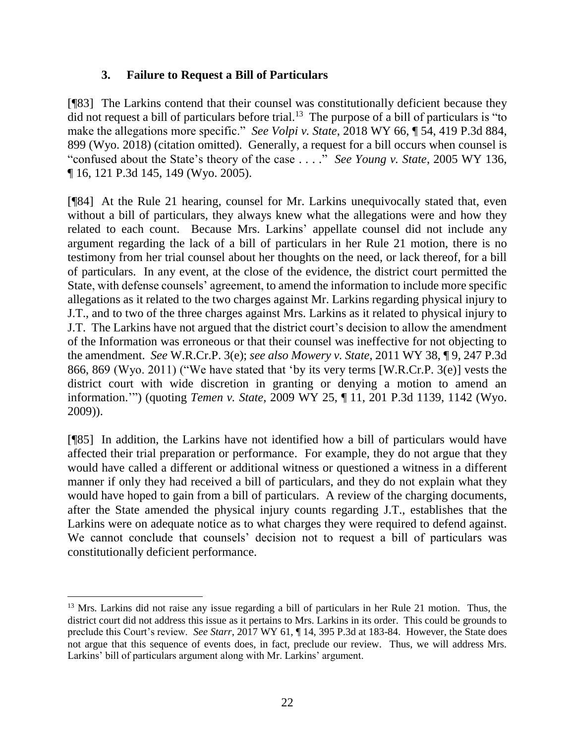### **3. Failure to Request a Bill of Particulars**

[¶83] The Larkins contend that their counsel was constitutionally deficient because they did not request a bill of particulars before trial.<sup>13</sup> The purpose of a bill of particulars is "to make the allegations more specific." *See Volpi v. State*, 2018 WY 66, ¶ 54, 419 P.3d 884, 899 (Wyo. 2018) (citation omitted). Generally, a request for a bill occurs when counsel is "confused about the State's theory of the case . . . ." *See Young v. State*, 2005 WY 136, ¶ 16, 121 P.3d 145, 149 (Wyo. 2005).

[¶84] At the Rule 21 hearing, counsel for Mr. Larkins unequivocally stated that, even without a bill of particulars, they always knew what the allegations were and how they related to each count. Because Mrs. Larkins' appellate counsel did not include any argument regarding the lack of a bill of particulars in her Rule 21 motion, there is no testimony from her trial counsel about her thoughts on the need, or lack thereof, for a bill of particulars. In any event, at the close of the evidence, the district court permitted the State, with defense counsels' agreement, to amend the information to include more specific allegations as it related to the two charges against Mr. Larkins regarding physical injury to J.T., and to two of the three charges against Mrs. Larkins as it related to physical injury to J.T. The Larkins have not argued that the district court's decision to allow the amendment of the Information was erroneous or that their counsel was ineffective for not objecting to the amendment. *See* W.R.Cr.P. 3(e); *see also Mowery v. State*, 2011 WY 38, ¶ 9, 247 P.3d 866, 869 (Wyo. 2011) ("We have stated that 'by its very terms [W.R.Cr.P. 3(e)] vests the district court with wide discretion in granting or denying a motion to amend an information.'") (quoting *Temen v. State*, 2009 WY 25, ¶ 11, 201 P.3d 1139, 1142 (Wyo. 2009)).

[¶85] In addition, the Larkins have not identified how a bill of particulars would have affected their trial preparation or performance. For example, they do not argue that they would have called a different or additional witness or questioned a witness in a different manner if only they had received a bill of particulars, and they do not explain what they would have hoped to gain from a bill of particulars. A review of the charging documents, after the State amended the physical injury counts regarding J.T., establishes that the Larkins were on adequate notice as to what charges they were required to defend against. We cannot conclude that counsels' decision not to request a bill of particulars was constitutionally deficient performance.

 <sup>13</sup> Mrs. Larkins did not raise any issue regarding a bill of particulars in her Rule 21 motion. Thus, the district court did not address this issue as it pertains to Mrs. Larkins in its order. This could be grounds to preclude this Court's review. *See Starr*, 2017 WY 61, ¶ 14, 395 P.3d at 183-84. However, the State does not argue that this sequence of events does, in fact, preclude our review. Thus, we will address Mrs. Larkins' bill of particulars argument along with Mr. Larkins' argument.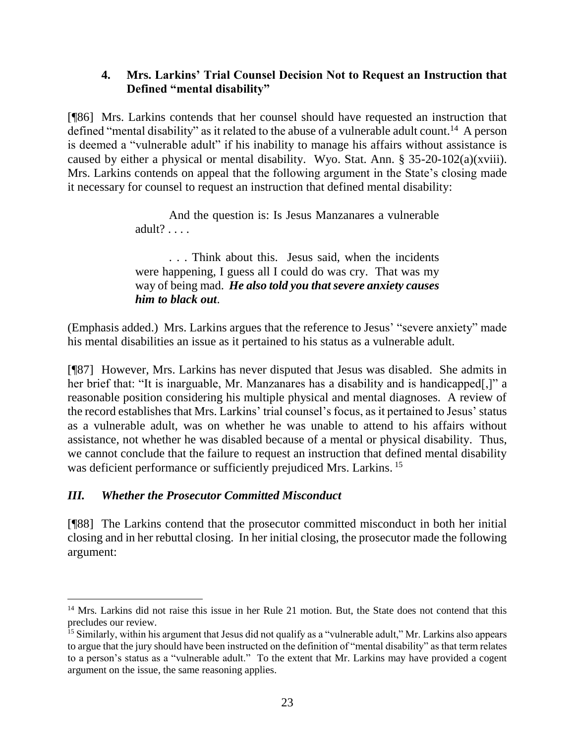### **4. Mrs. Larkins' Trial Counsel Decision Not to Request an Instruction that Defined "mental disability"**

[¶86] Mrs. Larkins contends that her counsel should have requested an instruction that defined "mental disability" as it related to the abuse of a vulnerable adult count.<sup>14</sup> A person is deemed a "vulnerable adult" if his inability to manage his affairs without assistance is caused by either a physical or mental disability. Wyo. Stat. Ann. § 35-20-102(a)(xviii). Mrs. Larkins contends on appeal that the following argument in the State's closing made it necessary for counsel to request an instruction that defined mental disability:

> And the question is: Is Jesus Manzanares a vulnerable adult? . . . .

> . . . Think about this. Jesus said, when the incidents were happening, I guess all I could do was cry. That was my way of being mad. *He also told you that severe anxiety causes him to black out*.

(Emphasis added.) Mrs. Larkins argues that the reference to Jesus' "severe anxiety" made his mental disabilities an issue as it pertained to his status as a vulnerable adult.

[¶87] However, Mrs. Larkins has never disputed that Jesus was disabled. She admits in her brief that: "It is inarguable, Mr. Manzanares has a disability and is handicapped[,]" a reasonable position considering his multiple physical and mental diagnoses. A review of the record establishes that Mrs. Larkins' trial counsel's focus, as it pertained to Jesus' status as a vulnerable adult, was on whether he was unable to attend to his affairs without assistance, not whether he was disabled because of a mental or physical disability. Thus, we cannot conclude that the failure to request an instruction that defined mental disability was deficient performance or sufficiently prejudiced Mrs. Larkins.<sup>15</sup>

### *III. Whether the Prosecutor Committed Misconduct*

[¶88] The Larkins contend that the prosecutor committed misconduct in both her initial closing and in her rebuttal closing. In her initial closing, the prosecutor made the following argument:

<sup>&</sup>lt;sup>14</sup> Mrs. Larkins did not raise this issue in her Rule 21 motion. But, the State does not contend that this precludes our review.

<sup>&</sup>lt;sup>15</sup> Similarly, within his argument that Jesus did not qualify as a "vulnerable adult," Mr. Larkins also appears to argue that the jury should have been instructed on the definition of "mental disability" as that term relates to a person's status as a "vulnerable adult." To the extent that Mr. Larkins may have provided a cogent argument on the issue, the same reasoning applies.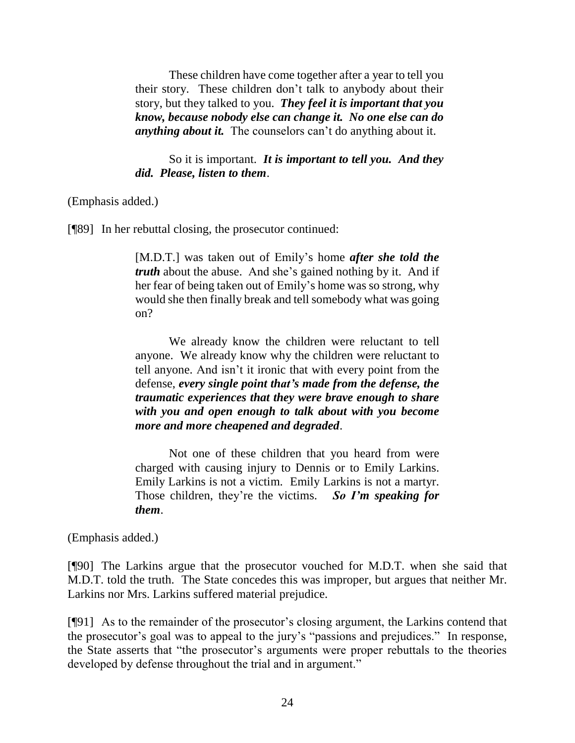These children have come together after a year to tell you their story. These children don't talk to anybody about their story, but they talked to you. *They feel it is important that you know, because nobody else can change it. No one else can do anything about it.* The counselors can't do anything about it.

So it is important. *It is important to tell you. And they did. Please, listen to them*.

(Emphasis added.)

[¶89] In her rebuttal closing, the prosecutor continued:

[M.D.T.] was taken out of Emily's home *after she told the truth* about the abuse. And she's gained nothing by it. And if her fear of being taken out of Emily's home was so strong, why would she then finally break and tell somebody what was going on?

We already know the children were reluctant to tell anyone. We already know why the children were reluctant to tell anyone. And isn't it ironic that with every point from the defense, *every single point that's made from the defense, the traumatic experiences that they were brave enough to share with you and open enough to talk about with you become more and more cheapened and degraded*.

Not one of these children that you heard from were charged with causing injury to Dennis or to Emily Larkins. Emily Larkins is not a victim. Emily Larkins is not a martyr. Those children, they're the victims. *So I'm speaking for them*.

(Emphasis added.)

[¶90] The Larkins argue that the prosecutor vouched for M.D.T. when she said that M.D.T. told the truth. The State concedes this was improper, but argues that neither Mr. Larkins nor Mrs. Larkins suffered material prejudice.

[¶91] As to the remainder of the prosecutor's closing argument, the Larkins contend that the prosecutor's goal was to appeal to the jury's "passions and prejudices." In response, the State asserts that "the prosecutor's arguments were proper rebuttals to the theories developed by defense throughout the trial and in argument."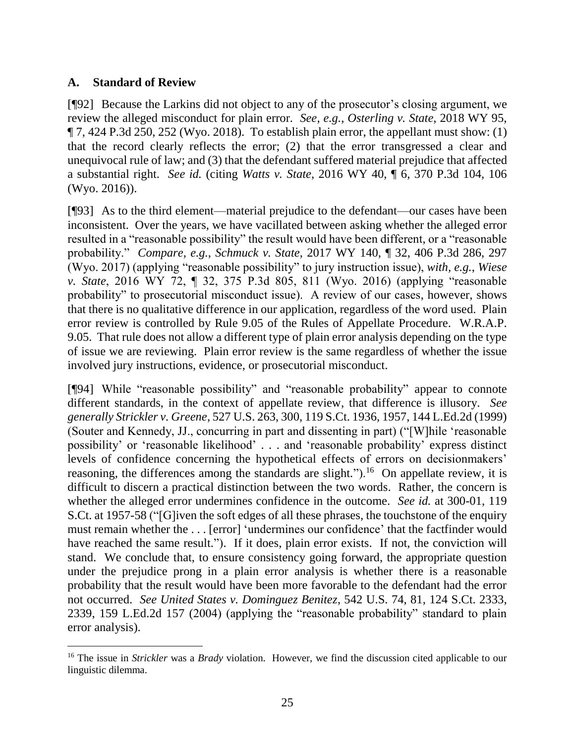### **A. Standard of Review**

[¶92] Because the Larkins did not object to any of the prosecutor's closing argument, we review the alleged misconduct for plain error. *See, e.g.*, *Osterling v. State*, 2018 WY 95,  $\P$  7, 424 P.3d 250, 252 (Wyo. 2018). To establish plain error, the appellant must show: (1) that the record clearly reflects the error; (2) that the error transgressed a clear and unequivocal rule of law; and (3) that the defendant suffered material prejudice that affected a substantial right. *See id.* (citing *Watts v. State*, 2016 WY 40, ¶ 6, 370 P.3d 104, 106 (Wyo. 2016)).

[¶93] As to the third element—material prejudice to the defendant—our cases have been inconsistent. Over the years, we have vacillated between asking whether the alleged error resulted in a "reasonable possibility" the result would have been different, or a "reasonable probability." *Compare, e.g.*, *Schmuck v. State*, 2017 WY 140, ¶ 32, 406 P.3d 286, 297 (Wyo. 2017) (applying "reasonable possibility" to jury instruction issue), *with, e.g.*, *Wiese v. State*, 2016 WY 72, ¶ 32, 375 P.3d 805, 811 (Wyo. 2016) (applying "reasonable probability" to prosecutorial misconduct issue). A review of our cases, however, shows that there is no qualitative difference in our application, regardless of the word used. Plain error review is controlled by Rule 9.05 of the Rules of Appellate Procedure. W.R.A.P. 9.05. That rule does not allow a different type of plain error analysis depending on the type of issue we are reviewing. Plain error review is the same regardless of whether the issue involved jury instructions, evidence, or prosecutorial misconduct.

[¶94] While "reasonable possibility" and "reasonable probability" appear to connote different standards, in the context of appellate review, that difference is illusory. *See generally Strickler v. Greene*, 527 U.S. 263, 300, 119 S.Ct. 1936, 1957, 144 L.Ed.2d (1999) (Souter and Kennedy, JJ., concurring in part and dissenting in part) ("[W]hile 'reasonable possibility' or 'reasonable likelihood' . . . and 'reasonable probability' express distinct levels of confidence concerning the hypothetical effects of errors on decisionmakers' reasoning, the differences among the standards are slight." $)$ .<sup>16</sup> On appellate review, it is difficult to discern a practical distinction between the two words. Rather, the concern is whether the alleged error undermines confidence in the outcome. *See id.* at 300-01, 119 S.Ct. at 1957-58 ("[G]iven the soft edges of all these phrases, the touchstone of the enquiry must remain whether the . . . [error] 'undermines our confidence' that the factfinder would have reached the same result."). If it does, plain error exists. If not, the conviction will stand. We conclude that, to ensure consistency going forward, the appropriate question under the prejudice prong in a plain error analysis is whether there is a reasonable probability that the result would have been more favorable to the defendant had the error not occurred. *See United States v. Dominguez Benitez*, 542 U.S. 74, 81, 124 S.Ct. 2333, 2339, 159 L.Ed.2d 157 (2004) (applying the "reasonable probability" standard to plain error analysis).

<sup>16</sup> The issue in *Strickler* was a *Brady* violation. However, we find the discussion cited applicable to our linguistic dilemma.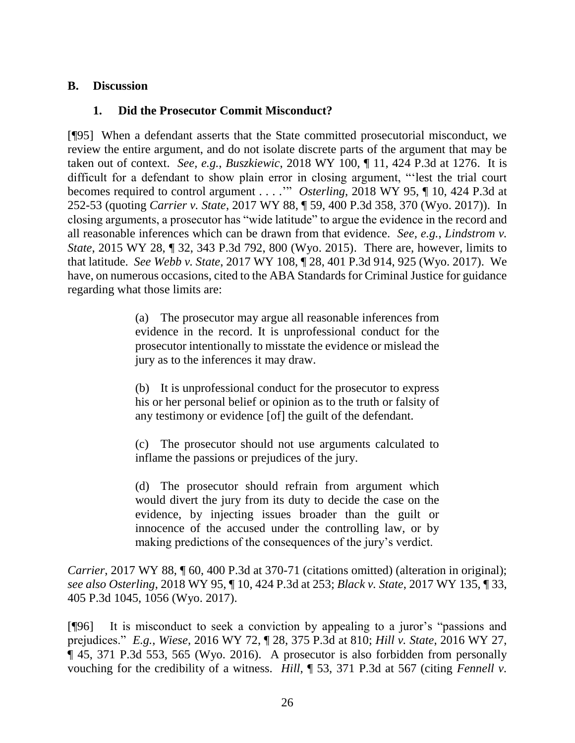#### **B. Discussion**

### **1. Did the Prosecutor Commit Misconduct?**

[¶95] When a defendant asserts that the State committed prosecutorial misconduct, we review the entire argument, and do not isolate discrete parts of the argument that may be taken out of context. *See, e.g.*, *Buszkiewic*, 2018 WY 100, ¶ 11, 424 P.3d at 1276. It is difficult for a defendant to show plain error in closing argument, "'lest the trial court becomes required to control argument . . . .'" *Osterling*, 2018 WY 95, ¶ 10, 424 P.3d at 252-53 (quoting *Carrier v. State*, 2017 WY 88, ¶ 59, 400 P.3d 358, 370 (Wyo. 2017)). In closing arguments, a prosecutor has "wide latitude" to argue the evidence in the record and all reasonable inferences which can be drawn from that evidence. *See, e.g.*, *Lindstrom v. State*, 2015 WY 28, ¶ 32, 343 P.3d 792, 800 (Wyo. 2015). There are, however, limits to that latitude. *See Webb v. State*, 2017 WY 108, ¶ 28, 401 P.3d 914, 925 (Wyo. 2017). We have, on numerous occasions, cited to the ABA Standards for Criminal Justice for guidance regarding what those limits are:

> (a) The prosecutor may argue all reasonable inferences from evidence in the record. It is unprofessional conduct for the prosecutor intentionally to misstate the evidence or mislead the jury as to the inferences it may draw.

> (b) It is unprofessional conduct for the prosecutor to express his or her personal belief or opinion as to the truth or falsity of any testimony or evidence [of] the guilt of the defendant.

> (c) The prosecutor should not use arguments calculated to inflame the passions or prejudices of the jury.

> (d) The prosecutor should refrain from argument which would divert the jury from its duty to decide the case on the evidence, by injecting issues broader than the guilt or innocence of the accused under the controlling law, or by making predictions of the consequences of the jury's verdict.

*Carrier*, 2017 WY 88,  $\sqrt{ }$  60, 400 P.3d at 370-71 (citations omitted) (alteration in original); *see also Osterling*, 2018 WY 95, ¶ 10, 424 P.3d at 253; *Black v. State*, 2017 WY 135, ¶ 33, 405 P.3d 1045, 1056 (Wyo. 2017).

[¶96] It is misconduct to seek a conviction by appealing to a juror's "passions and prejudices." *E.g.*, *Wiese*, 2016 WY 72, ¶ 28, 375 P.3d at 810; *Hill v. State*, 2016 WY 27, ¶ 45, 371 P.3d 553, 565 (Wyo. 2016). A prosecutor is also forbidden from personally vouching for the credibility of a witness. *Hill*, ¶ 53, 371 P.3d at 567 (citing *Fennell v.*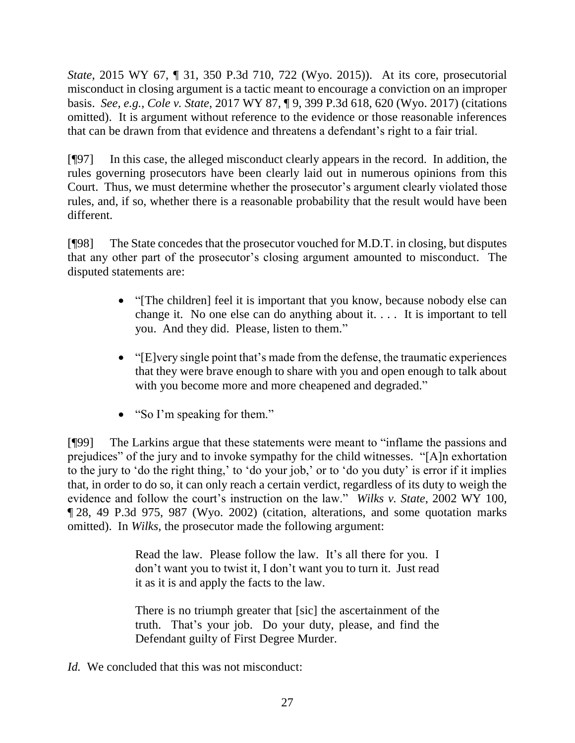*State*, 2015 WY 67, ¶ 31, 350 P.3d 710, 722 (Wyo. 2015)). At its core, prosecutorial misconduct in closing argument is a tactic meant to encourage a conviction on an improper basis. *See, e.g.*, *Cole v. State*, 2017 WY 87, ¶ 9, 399 P.3d 618, 620 (Wyo. 2017) (citations omitted). It is argument without reference to the evidence or those reasonable inferences that can be drawn from that evidence and threatens a defendant's right to a fair trial.

[¶97] In this case, the alleged misconduct clearly appears in the record. In addition, the rules governing prosecutors have been clearly laid out in numerous opinions from this Court. Thus, we must determine whether the prosecutor's argument clearly violated those rules, and, if so, whether there is a reasonable probability that the result would have been different.

[¶98] The State concedes that the prosecutor vouched for M.D.T. in closing, but disputes that any other part of the prosecutor's closing argument amounted to misconduct. The disputed statements are:

- "[The children] feel it is important that you know, because nobody else can change it. No one else can do anything about it. . . . It is important to tell you. And they did. Please, listen to them."
- "[E]very single point that's made from the defense, the traumatic experiences that they were brave enough to share with you and open enough to talk about with you become more and more cheapened and degraded."
- "So I'm speaking for them."

[¶99] The Larkins argue that these statements were meant to "inflame the passions and prejudices" of the jury and to invoke sympathy for the child witnesses. "[A]n exhortation to the jury to 'do the right thing,' to 'do your job,' or to 'do you duty' is error if it implies that, in order to do so, it can only reach a certain verdict, regardless of its duty to weigh the evidence and follow the court's instruction on the law." *Wilks v. State*, 2002 WY 100, ¶ 28, 49 P.3d 975, 987 (Wyo. 2002) (citation, alterations, and some quotation marks omitted). In *Wilks*, the prosecutor made the following argument:

> Read the law. Please follow the law. It's all there for you. I don't want you to twist it, I don't want you to turn it. Just read it as it is and apply the facts to the law.

> There is no triumph greater that [sic] the ascertainment of the truth. That's your job. Do your duty, please, and find the Defendant guilty of First Degree Murder.

*Id.* We concluded that this was not misconduct: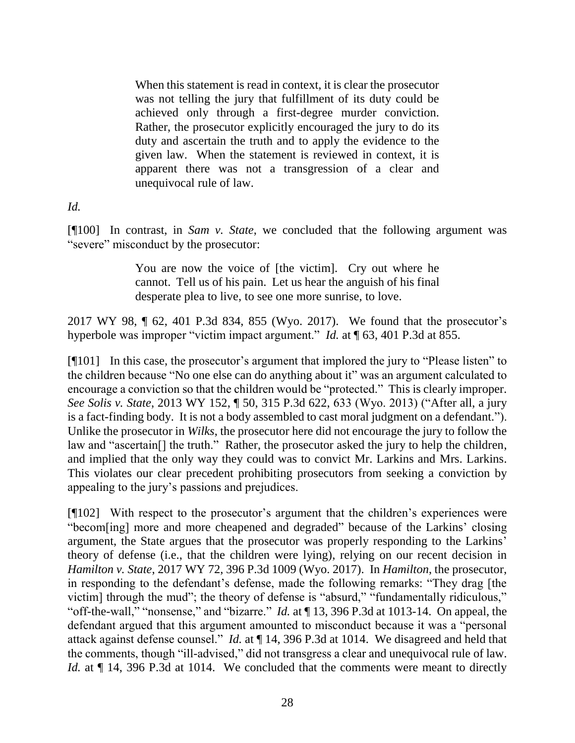When this statement is read in context, it is clear the prosecutor was not telling the jury that fulfillment of its duty could be achieved only through a first-degree murder conviction. Rather, the prosecutor explicitly encouraged the jury to do its duty and ascertain the truth and to apply the evidence to the given law. When the statement is reviewed in context, it is apparent there was not a transgression of a clear and unequivocal rule of law.

#### *Id.*

[¶100] In contrast, in *Sam v. State*, we concluded that the following argument was "severe" misconduct by the prosecutor:

> You are now the voice of [the victim]. Cry out where he cannot. Tell us of his pain. Let us hear the anguish of his final desperate plea to live, to see one more sunrise, to love.

2017 WY 98, ¶ 62, 401 P.3d 834, 855 (Wyo. 2017). We found that the prosecutor's hyperbole was improper "victim impact argument." *Id.* at ¶ 63, 401 P.3d at 855.

[¶101] In this case, the prosecutor's argument that implored the jury to "Please listen" to the children because "No one else can do anything about it" was an argument calculated to encourage a conviction so that the children would be "protected." This is clearly improper. *See Solis v. State*, 2013 WY 152, ¶ 50, 315 P.3d 622, 633 (Wyo. 2013) ("After all, a jury is a fact-finding body. It is not a body assembled to cast moral judgment on a defendant."). Unlike the prosecutor in *Wilks*, the prosecutor here did not encourage the jury to follow the law and "ascertain[] the truth." Rather, the prosecutor asked the jury to help the children, and implied that the only way they could was to convict Mr. Larkins and Mrs. Larkins. This violates our clear precedent prohibiting prosecutors from seeking a conviction by appealing to the jury's passions and prejudices.

[¶102] With respect to the prosecutor's argument that the children's experiences were "becom[ing] more and more cheapened and degraded" because of the Larkins' closing argument, the State argues that the prosecutor was properly responding to the Larkins' theory of defense (i.e., that the children were lying), relying on our recent decision in *Hamilton v. State*, 2017 WY 72, 396 P.3d 1009 (Wyo. 2017). In *Hamilton*, the prosecutor, in responding to the defendant's defense, made the following remarks: "They drag [the victim] through the mud"; the theory of defense is "absurd," "fundamentally ridiculous," "off-the-wall," "nonsense," and "bizarre." *Id.* at ¶ 13, 396 P.3d at 1013-14. On appeal, the defendant argued that this argument amounted to misconduct because it was a "personal attack against defense counsel." *Id.* at ¶ 14, 396 P.3d at 1014. We disagreed and held that the comments, though "ill-advised," did not transgress a clear and unequivocal rule of law. *Id.* at  $\P$  14, 396 P.3d at 1014. We concluded that the comments were meant to directly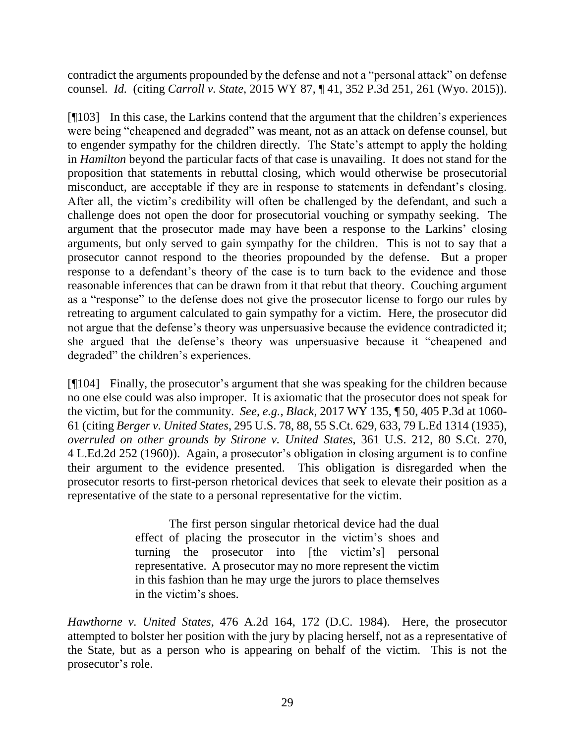contradict the arguments propounded by the defense and not a "personal attack" on defense counsel. *Id.* (citing *Carroll v. State*, 2015 WY 87, ¶ 41, 352 P.3d 251, 261 (Wyo. 2015)).

[¶103] In this case, the Larkins contend that the argument that the children's experiences were being "cheapened and degraded" was meant, not as an attack on defense counsel, but to engender sympathy for the children directly. The State's attempt to apply the holding in *Hamilton* beyond the particular facts of that case is unavailing. It does not stand for the proposition that statements in rebuttal closing, which would otherwise be prosecutorial misconduct, are acceptable if they are in response to statements in defendant's closing. After all, the victim's credibility will often be challenged by the defendant, and such a challenge does not open the door for prosecutorial vouching or sympathy seeking. The argument that the prosecutor made may have been a response to the Larkins' closing arguments, but only served to gain sympathy for the children. This is not to say that a prosecutor cannot respond to the theories propounded by the defense. But a proper response to a defendant's theory of the case is to turn back to the evidence and those reasonable inferences that can be drawn from it that rebut that theory. Couching argument as a "response" to the defense does not give the prosecutor license to forgo our rules by retreating to argument calculated to gain sympathy for a victim. Here, the prosecutor did not argue that the defense's theory was unpersuasive because the evidence contradicted it; she argued that the defense's theory was unpersuasive because it "cheapened and degraded" the children's experiences.

[¶104] Finally, the prosecutor's argument that she was speaking for the children because no one else could was also improper. It is axiomatic that the prosecutor does not speak for the victim, but for the community. *See, e.g.*, *Black*, 2017 WY 135, ¶ 50, 405 P.3d at 1060- 61 (citing *Berger v. United States*, 295 U.S. 78, 88, 55 S.Ct. 629, 633, 79 L.Ed 1314 (1935), *overruled on other grounds by Stirone v. United States*, 361 U.S. 212, 80 S.Ct. 270, 4 L.Ed.2d 252 (1960)). Again, a prosecutor's obligation in closing argument is to confine their argument to the evidence presented. This obligation is disregarded when the prosecutor resorts to first-person rhetorical devices that seek to elevate their position as a representative of the state to a personal representative for the victim.

> The first person singular rhetorical device had the dual effect of placing the prosecutor in the victim's shoes and turning the prosecutor into [the victim's] personal representative. A prosecutor may no more represent the victim in this fashion than he may urge the jurors to place themselves in the victim's shoes.

*Hawthorne v. United States*, 476 A.2d 164, 172 (D.C. 1984). Here, the prosecutor attempted to bolster her position with the jury by placing herself, not as a representative of the State, but as a person who is appearing on behalf of the victim. This is not the prosecutor's role.